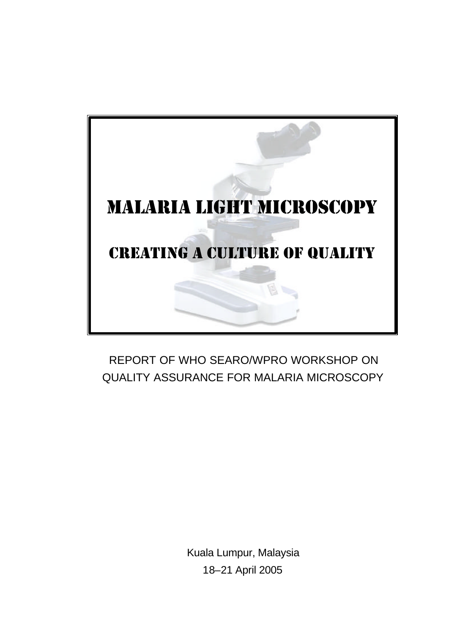

# REPORT OF WHO SEARO/WPRO WORKSHOP ON QUALITY ASSURANCE FOR MALARIA MICROSCOPY

Kuala Lumpur, Malaysia 18–21 April 2005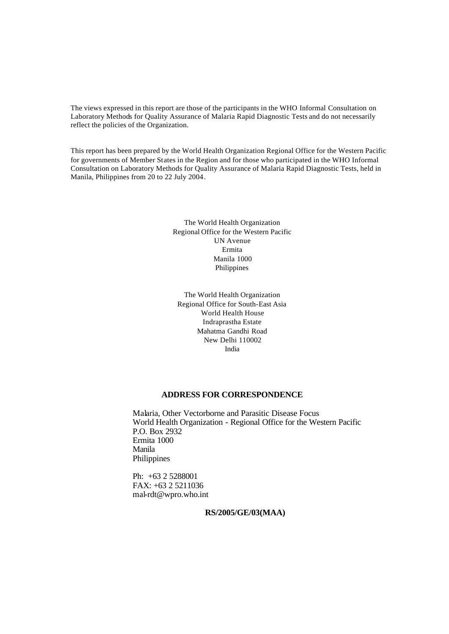The views expressed in this report are those of the participants in the WHO Informal Consultation on Laboratory Methods for Quality Assurance of Malaria Rapid Diagnostic Tests and do not necessarily reflect the policies of the Organization.

This report has been prepared by the World Health Organization Regional Office for the Western Pacific for governments of Member States in the Region and for those who participated in the WHO Informal Consultation on Laboratory Methods for Quality Assurance of Malaria Rapid Diagnostic Tests, held in Manila, Philippines from 20 to 22 July 2004.

> The World Health Organization Regional Office for the Western Pacific UN Avenue Ermita Manila 1000 Philippines

The World Health Organization Regional Office for South-East Asia World Health House Indraprastha Estate Mahatma Gandhi Road New Delhi 110002 India

#### **ADDRESS FOR CORRESPONDENCE**

Malaria, Other Vectorborne and Parasitic Disease Focus World Health Organization - Regional Office for the Western Pacific P.O. Box 2932 Ermita 1000 Manila Philippines

Ph: +63 2 5288001 FAX: +63 2 5211036 mal-rdt@wpro.who.int

**RS/2005/GE/03(MAA)**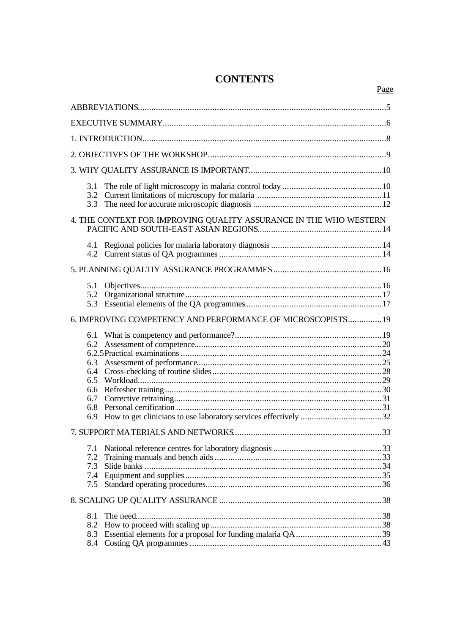# **CONTENTS**

# 

| 3.1<br>3.3                                                        |  |
|-------------------------------------------------------------------|--|
| 4. THE CONTEXT FOR IMPROVING QUALITY ASSURANCE IN THE WHO WESTERN |  |
|                                                                   |  |
|                                                                   |  |
| 5.1<br>5.2<br>5.3                                                 |  |
| 6. IMPROVING COMPETENCY AND PERFORMANCE OF MICROSCOPISTS 19       |  |
| 6.1<br>6.3<br>6.4<br>6.7<br>6.9                                   |  |
|                                                                   |  |
| 7.1<br>7.3<br>7.5                                                 |  |
|                                                                   |  |
| 8.1<br>8.3<br>8.4                                                 |  |

Page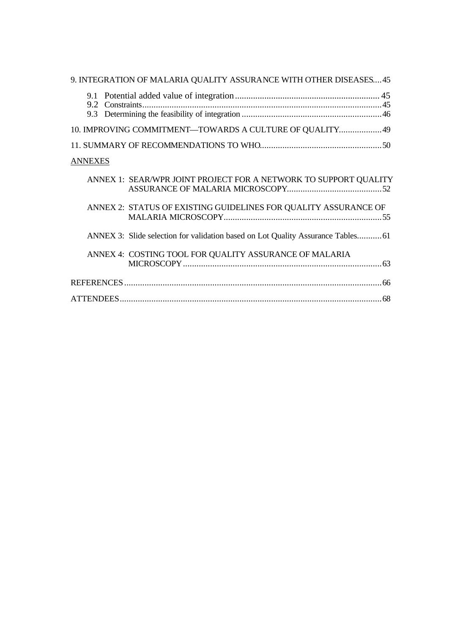| 9. INTEGRATION OF MALARIA QUALITY ASSURANCE WITH OTHER DISEASES 45              |
|---------------------------------------------------------------------------------|
| 9.1<br>9.2 Constraints                                                          |
|                                                                                 |
| 10. IMPROVING COMMITMENT-TOWARDS A CULTURE OF QUALITY 49                        |
|                                                                                 |
| <b>ANNEXES</b>                                                                  |
| ANNEX 1: SEAR/WPR JOINT PROJECT FOR A NETWORK TO SUPPORT QUALITY                |
| ANNEX 2: STATUS OF EXISTING GUIDELINES FOR QUALITY ASSURANCE OF                 |
| ANNEX 3: Slide selection for validation based on Lot Quality Assurance Tables61 |
| ANNEX 4: COSTING TOOL FOR QUALITY ASSURANCE OF MALARIA                          |
|                                                                                 |
|                                                                                 |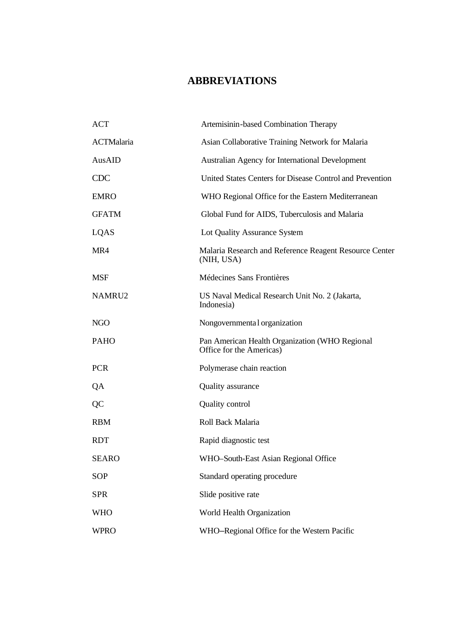# **ABBREVIATIONS**

| <b>ACT</b>   | Artemisinin-based Combination Therapy                                      |
|--------------|----------------------------------------------------------------------------|
| ACTMalaria   | Asian Collaborative Training Network for Malaria                           |
| AusAID       | Australian Agency for International Development                            |
| <b>CDC</b>   | United States Centers for Disease Control and Prevention                   |
| <b>EMRO</b>  | WHO Regional Office for the Eastern Mediterranean                          |
| <b>GFATM</b> | Global Fund for AIDS, Tuberculosis and Malaria                             |
| LQAS         | Lot Quality Assurance System                                               |
| MR4          | Malaria Research and Reference Reagent Resource Center<br>(NIH, USA)       |
| <b>MSF</b>   | Médecines Sans Frontières                                                  |
| NAMRU2       | US Naval Medical Research Unit No. 2 (Jakarta,<br>Indonesia)               |
| <b>NGO</b>   | Nongovernmental organization                                               |
| <b>PAHO</b>  | Pan American Health Organization (WHO Regional<br>Office for the Americas) |
| <b>PCR</b>   | Polymerase chain reaction                                                  |
| QA           | Quality assurance                                                          |
| QC           | <b>Quality control</b>                                                     |
| <b>RBM</b>   | Roll Back Malaria                                                          |
| <b>RDT</b>   | Rapid diagnostic test                                                      |
| <b>SEARO</b> | WHO-South-East Asian Regional Office                                       |
| <b>SOP</b>   | Standard operating procedure                                               |
| <b>SPR</b>   | Slide positive rate                                                        |
| <b>WHO</b>   | World Health Organization                                                  |
| <b>WPRO</b>  | WHO-Regional Office for the Western Pacific                                |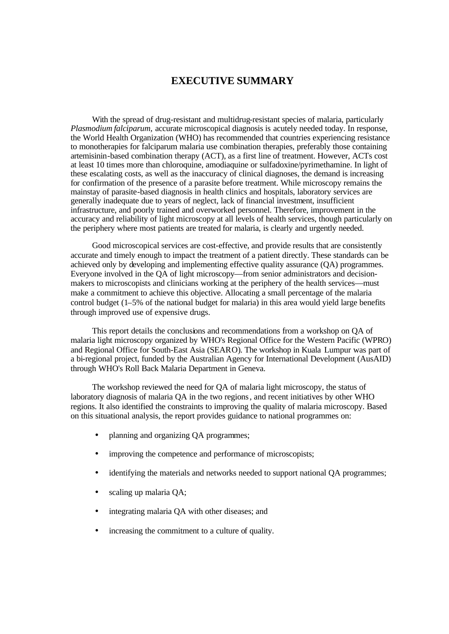## **EXECUTIVE SUMMARY**

With the spread of drug-resistant and multidrug-resistant species of malaria, particularly *Plasmodium falciparum,* accurate microscopical diagnosis is acutely needed today. In response, the World Health Organization (WHO) has recommended that countries experiencing resistance to monotherapies for falciparum malaria use combination therapies, preferably those containing artemisinin-based combination therapy (ACT), as a first line of treatment. However, ACTs cost at least 10 times more than chloroquine, amodiaquine or sulfadoxine/pyrimethamine. In light of these escalating costs, as well as the inaccuracy of clinical diagnoses, the demand is increasing for confirmation of the presence of a parasite before treatment. While microscopy remains the mainstay of parasite-based diagnosis in health clinics and hospitals, laboratory services are generally inadequate due to years of neglect, lack of financial investment, insufficient infrastructure, and poorly trained and overworked personnel. Therefore, improvement in the accuracy and reliability of light microscopy at all levels of health services, though particularly on the periphery where most patients are treated for malaria, is clearly and urgently needed.

Good microscopical services are cost-effective, and provide results that are consistently accurate and timely enough to impact the treatment of a patient directly. These standards can be achieved only by developing and implementing effective quality assurance (QA) programmes. Everyone involved in the QA of light microscopy—from senior administrators and decisionmakers to microscopists and clinicians working at the periphery of the health services—must make a commitment to achieve this objective. Allocating a small percentage of the malaria control budget (1–5% of the national budget for malaria) in this area would yield large benefits through improved use of expensive drugs.

This report details the conclusions and recommendations from a workshop on QA of malaria light microscopy organized by WHO's Regional Office for the Western Pacific (WPRO) and Regional Office for South-East Asia (SEARO). The workshop in Kuala Lumpur was part of a bi-regional project, funded by the Australian Agency for International Development (AusAID) through WHO's Roll Back Malaria Department in Geneva.

The workshop reviewed the need for QA of malaria light microscopy, the status of laboratory diagnosis of malaria QA in the two regions, and recent initiatives by other WHO regions. It also identified the constraints to improving the quality of malaria microscopy. Based on this situational analysis, the report provides guidance to national programmes on:

- planning and organizing QA programmes;
- improving the competence and performance of microscopists;
- identifying the materials and networks needed to support national QA programmes;
- scaling up malaria OA;
- integrating malaria OA with other diseases; and
- increasing the commitment to a culture of quality.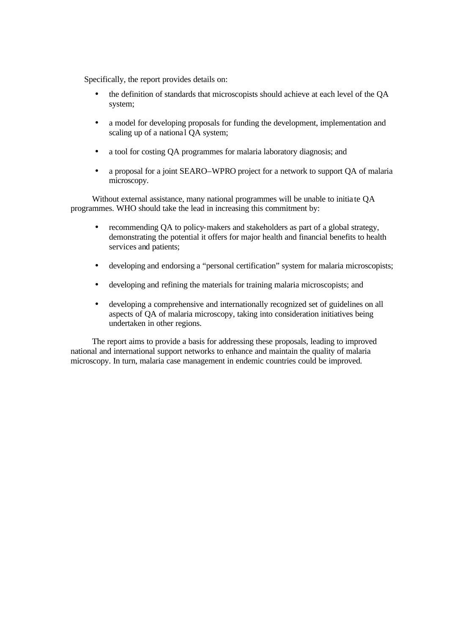Specifically, the report provides details on:

- the definition of standards that microscopists should achieve at each level of the QA system;
- a model for developing proposals for funding the development, implementation and scaling up of a national QA system;
- a tool for costing QA programmes for malaria laboratory diagnosis; and
- a proposal for a joint SEARO–WPRO project for a network to support QA of malaria microscopy.

Without external assistance, many national programmes will be unable to initia te QA programmes. WHO should take the lead in increasing this commitment by:

- recommending OA to policy-makers and stakeholders as part of a global strategy, demonstrating the potential it offers for major health and financial benefits to health services and patients;
- developing and endorsing a "personal certification" system for malaria microscopists;
- developing and refining the materials for training malaria microscopists; and
- developing a comprehensive and internationally recognized set of guidelines on all aspects of QA of malaria microscopy, taking into consideration initiatives being undertaken in other regions.

The report aims to provide a basis for addressing these proposals, leading to improved national and international support networks to enhance and maintain the quality of malaria microscopy. In turn, malaria case management in endemic countries could be improved.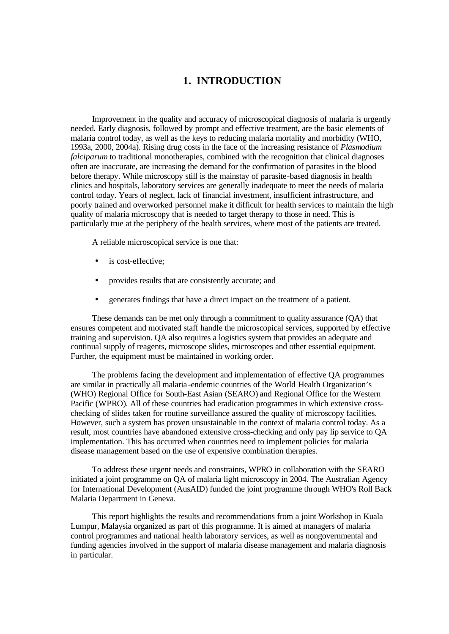## **1. INTRODUCTION**

Improvement in the quality and accuracy of microscopical diagnosis of malaria is urgently needed. Early diagnosis, followed by prompt and effective treatment, are the basic elements of malaria control today, as well as the keys to reducing malaria mortality and morbidity (WHO, 1993a, 2000, 2004a). Rising drug costs in the face of the increasing resistance of *Plasmodium falciparum* to traditional monotherapies, combined with the recognition that clinical diagnoses often are inaccurate, are increasing the demand for the confirmation of parasites in the blood before therapy. While microscopy still is the mainstay of parasite-based diagnosis in health clinics and hospitals, laboratory services are generally inadequate to meet the needs of malaria control today. Years of neglect, lack of financial investment, insufficient infrastructure, and poorly trained and overworked personnel make it difficult for health services to maintain the high quality of malaria microscopy that is needed to target therapy to those in need. This is particularly true at the periphery of the health services, where most of the patients are treated.

A reliable microscopical service is one that:

- is cost-effective:
- provides results that are consistently accurate; and
- generates findings that have a direct impact on the treatment of a patient.

These demands can be met only through a commitment to quality assurance (QA) that ensures competent and motivated staff handle the microscopical services, supported by effective training and supervision. QA also requires a logistics system that provides an adequate and continual supply of reagents, microscope slides, microscopes and other essential equipment. Further, the equipment must be maintained in working order.

The problems facing the development and implementation of effective QA programmes are similar in practically all malaria -endemic countries of the World Health Organization's (WHO) Regional Office for South-East Asian (SEARO) and Regional Office for the Western Pacific (WPRO). All of these countries had eradication programmes in which extensive crosschecking of slides taken for routine surveillance assured the quality of microscopy facilities. However, such a system has proven unsustainable in the context of malaria control today. As a result, most countries have abandoned extensive cross-checking and only pay lip service to QA implementation. This has occurred when countries need to implement policies for malaria disease management based on the use of expensive combination therapies.

To address these urgent needs and constraints, WPRO in collaboration with the SEARO initiated a joint programme on QA of malaria light microscopy in 2004. The Australian Agency for International Development (AusAID) funded the joint programme through WHO's Roll Back Malaria Department in Geneva.

This report highlights the results and recommendations from a joint Workshop in Kuala Lumpur, Malaysia organized as part of this programme. It is aimed at managers of malaria control programmes and national health laboratory services, as well as nongovernmental and funding agencies involved in the support of malaria disease management and malaria diagnosis in particular.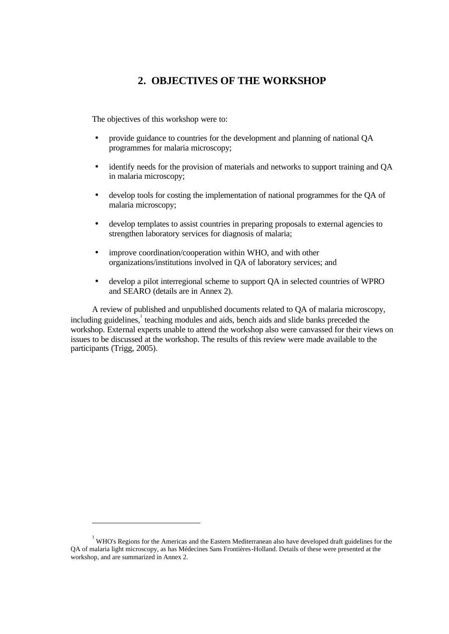## **2. OBJECTIVES OF THE WORKSHOP**

The objectives of this workshop were to:

- provide guidance to countries for the development and planning of national QA programmes for malaria microscopy;
- identify needs for the provision of materials and networks to support training and QA in malaria microscopy;
- develop tools for costing the implementation of national programmes for the QA of malaria microscopy;
- develop templates to assist countries in preparing proposals to external agencies to strengthen laboratory services for diagnosis of malaria;
- improve coordination/cooperation within WHO, and with other organizations/institutions involved in QA of laboratory services; and
- develop a pilot interregional scheme to support QA in selected countries of WPRO and SEARO (details are in Annex 2).

A review of published and unpublished documents related to QA of malaria microscopy,  $including\,guidelines$ , teaching modules and aids, bench aids and slide banks preceded the workshop. External experts unable to attend the workshop also were canvassed for their views on issues to be discussed at the workshop. The results of this review were made available to the participants (Trigg, 2005).

l

<sup>&</sup>lt;sup>1</sup> WHO's Regions for the Americas and the Eastern Mediterranean also have developed draft guidelines for the QA of malaria light microscopy, as has Médecines Sans Frontières-Holland. Details of these were presented at the workshop, and are summarized in Annex 2.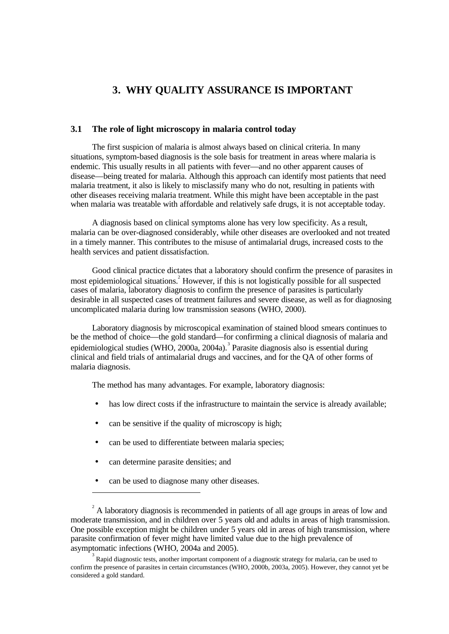# **3. WHY QUALITY ASSURANCE IS IMPORTANT**

#### **3.1 The role of light microscopy in malaria control today**

The first suspicion of malaria is almost always based on clinical criteria. In many situations, symptom-based diagnosis is the sole basis for treatment in areas where malaria is endemic. This usually results in all patients with fever—and no other apparent causes of disease—being treated for malaria. Although this approach can identify most patients that need malaria treatment, it also is likely to misclassify many who do not, resulting in patients with other diseases receiving malaria treatment. While this might have been acceptable in the past when malaria was treatable with affordable and relatively safe drugs, it is not acceptable today.

A diagnosis based on clinical symptoms alone has very low specificity. As a result, malaria can be over-diagnosed considerably, while other diseases are overlooked and not treated in a timely manner. This contributes to the misuse of antimalarial drugs, increased costs to the health services and patient dissatisfaction.

Good clinical practice dictates that a laboratory should confirm the presence of parasites in most epidemiological situations.<sup>2</sup> However, if this is not logistically possible for all suspected cases of malaria, laboratory diagnosis to confirm the presence of parasites is particularly desirable in all suspected cases of treatment failures and severe disease, as well as for diagnosing uncomplicated malaria during low transmission seasons (WHO, 2000).

Laboratory diagnosis by microscopical examination of stained blood smears continues to be the method of choice—the gold standard—for confirming a clinical diagnosis of malaria and epidemiological studies (WHO, 2000a, 2004a).<sup>3</sup> Parasite diagnosis also is essential during clinical and field trials of antimalarial drugs and vaccines, and for the QA of other forms of malaria diagnosis.

The method has many advantages. For example, laboratory diagnosis:

- has low direct costs if the infrastructure to maintain the service is already available;
- can be sensitive if the quality of microscopy is high;
- can be used to differentiate between malaria species;
- can determine parasite densities; and

l

• can be used to diagnose many other diseases.

 $2^2$  A laboratory diagnosis is recommended in patients of all age groups in areas of low and moderate transmission, and in children over 5 years old and adults in areas of high transmission. One possible exception might be children under 5 years old in areas of high transmission, where parasite confirmation of fever might have limited value due to the high prevalence of asymptomatic infections (WHO, 2004a and 2005).

<sup>3</sup> Rapid diagnostic tests, another important component of a diagnostic strategy for malaria, can be used to confirm the presence of parasites in certain circumstances (WHO, 2000b, 2003a, 2005). However, they cannot yet be considered a gold standard.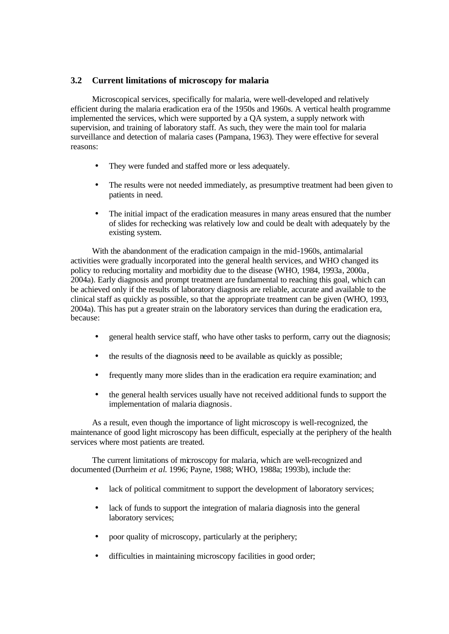#### **3.2 Current limitations of microscopy for malaria**

Microscopical services, specifically for malaria, were well-developed and relatively efficient during the malaria eradication era of the 1950s and 1960s. A vertical health programme implemented the services, which were supported by a QA system, a supply network with supervision, and training of laboratory staff. As such, they were the main tool for malaria surveillance and detection of malaria cases (Pampana, 1963). They were effective for several reasons:

- They were funded and staffed more or less adequately.
- The results were not needed immediately, as presumptive treatment had been given to patients in need.
- The initial impact of the eradication measures in many areas ensured that the number of slides for rechecking was relatively low and could be dealt with adequately by the existing system.

With the abandonment of the eradication campaign in the mid-1960s, antimalarial activities were gradually incorporated into the general health services, and WHO changed its policy to reducing mortality and morbidity due to the disease (WHO, 1984, 1993a, 2000a , 2004a). Early diagnosis and prompt treatment are fundamental to reaching this goal, which can be achieved only if the results of laboratory diagnosis are reliable, accurate and available to the clinical staff as quickly as possible, so that the appropriate treatment can be given (WHO, 1993, 2004a). This has put a greater strain on the laboratory services than during the eradication era, because:

- general health service staff, who have other tasks to perform, carry out the diagnosis;
- the results of the diagnosis need to be available as quickly as possible;
- frequently many more slides than in the eradication era require examination; and
- the general health services usually have not received additional funds to support the implementation of malaria diagnosis.

As a result, even though the importance of light microscopy is well-recognized, the maintenance of good light microscopy has been difficult, especially at the periphery of the health services where most patients are treated.

The current limitations of microscopy for malaria, which are well-recognized and documented (Durrheim *et al*. 1996; Payne, 1988; WHO, 1988a; 1993b), include the:

- lack of political commitment to support the development of laboratory services;
- lack of funds to support the integration of malaria diagnosis into the general laboratory services;
- poor quality of microscopy, particularly at the periphery;
- difficulties in maintaining microscopy facilities in good order;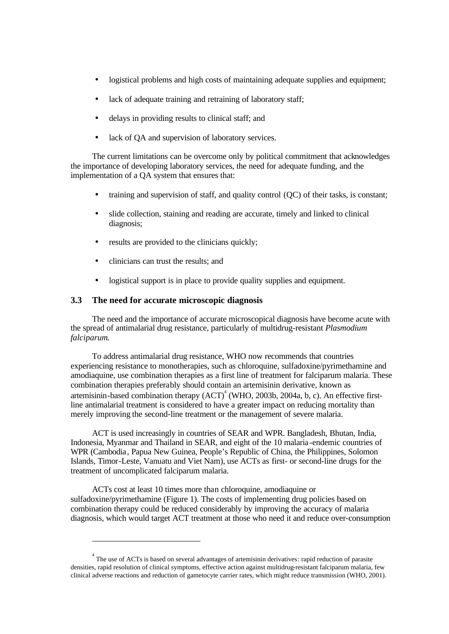- logistical problems and high costs of maintaining adequate supplies and equipment;
- lack of adequate training and retraining of laboratory staff;
- delays in providing results to clinical staff; and
- lack of QA and supervision of laboratory services.

The current limitations can be overcome only by political commitment that acknowledges the importance of developing laboratory services, the need for adequate funding, and the implementation of a QA system that ensures that:

- training and supervision of staff, and quality control (QC) of their tasks, is constant;
- slide collection, staining and reading are accurate, timely and linked to clinical diagnosis;
- results are provided to the clinicians quickly;
- clinicians can trust the results; and

l

• logistical support is in place to provide quality supplies and equipment.

#### **3.3 The need for accurate microscopic diagnosis**

The need and the importance of accurate microscopical diagnosis have become acute with the spread of antimalarial drug resistance, particularly of multidrug-resistant *Plasmodium falciparum*.

To address antimalarial drug resistance, WHO now recommends that countries experiencing resistance to monotherapies, such as chloroquine, sulfadoxine/pyrimethamine and amodiaquine, use combination therapies as a first line of treatment for falciparum malaria. These combination therapies preferably should contain an artemisinin derivative, known as artemisinin-based combination therapy  $(ACT)^4$  (WHO, 2003b, 2004a, b, c). An effective firstline antimalarial treatment is considered to have a greater impact on reducing mortality than merely improving the second-line treatment or the management of severe malaria.

ACT is used increasingly in countries of SEAR and WPR. Bangladesh, Bhutan, India, Indonesia, Myanmar and Thailand in SEAR, and eight of the 10 malaria -endemic countries of WPR (Cambodia, Papua New Guinea, People's Republic of China, the Philippines, Solomon Islands, Timor-Leste, Vanuatu and Viet Nam), use ACTs as first- or second-line drugs for the treatment of uncomplicated falciparum malaria.

ACTs cost at least 10 times more than chloroquine, amodiaquine or sulfadoxine/pyrimethamine (Figure 1). The costs of implementing drug policies based on combination therapy could be reduced considerably by improving the accuracy of malaria diagnosis, which would target ACT treatment at those who need it and reduce over-consumption

 $4$  The use of ACTs is based on several advantages of artemisinin derivatives: rapid reduction of parasite densities, rapid resolution of clinical symptoms, effective action against multidrug-resistant falciparum malaria, few clinical adverse reactions and reduction of gametocyte carrier rates, which might reduce transmission (WHO, 2001).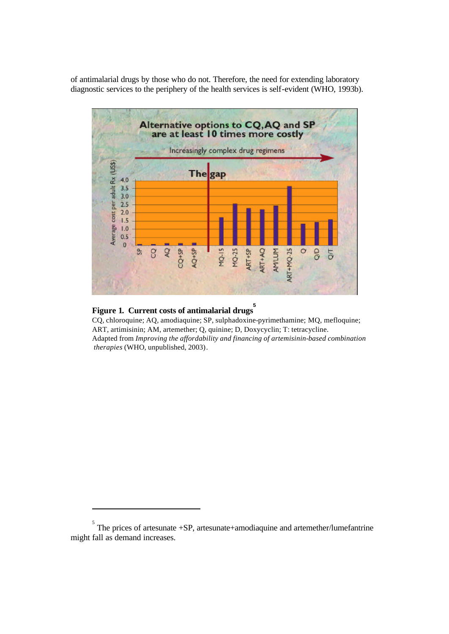of antimalarial drugs by those who do not. Therefore, the need for extending laboratory diagnostic services to the periphery of the health services is self-evident (WHO, 1993b).



# **Figure 1. Current costs of antimalarial drugs 5**

l

CQ, chloroquine; AQ, amodiaquine; SP, sulphadoxine-pyrimethamine; MQ, mefloquine; ART, artimisinin; AM, artemether; Q, quinine; D, Doxycyclin; T: tetracycline. Adapted from *Improving the affordability and financing of artemisinin-based combination therapies* (WHO, unpublished, 2003).

 $\sigma$ <sup>5</sup> The prices of artesunate +SP, artesunate+amodiaquine and artemether/lumefantrine might fall as demand increases.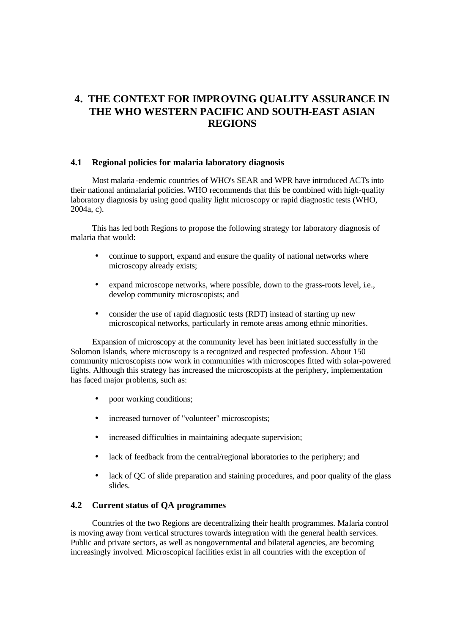# **4. THE CONTEXT FOR IMPROVING QUALITY ASSURANCE IN THE WHO WESTERN PACIFIC AND SOUTH-EAST ASIAN REGIONS**

#### **4.1 Regional policies for malaria laboratory diagnosis**

Most malaria-endemic countries of WHO's SEAR and WPR have introduced ACTs into their national antimalarial policies. WHO recommends that this be combined with high-quality laboratory diagnosis by using good quality light microscopy or rapid diagnostic tests (WHO, 2004a, c).

This has led both Regions to propose the following strategy for laboratory diagnosis of malaria that would:

- continue to support, expand and ensure the quality of national networks where microscopy already exists;
- expand microscope networks, where possible, down to the grass-roots level, i.e., develop community microscopists; and
- consider the use of rapid diagnostic tests (RDT) instead of starting up new microscopical networks, particularly in remote areas among ethnic minorities.

Expansion of microscopy at the community level has been initiated successfully in the Solomon Islands, where microscopy is a recognized and respected profession. About 150 community microscopists now work in communities with microscopes fitted with solar-powered lights. Although this strategy has increased the microscopists at the periphery, implementation has faced major problems, such as:

- poor working conditions;
- increased turnover of "volunteer" microscopists;
- increased difficulties in maintaining adequate supervision;
- lack of feedback from the central/regional laboratories to the periphery; and
- lack of QC of slide preparation and staining procedures, and poor quality of the glass slides.

#### **4.2 Current status of QA programmes**

Countries of the two Regions are decentralizing their health programmes. Malaria control is moving away from vertical structures towards integration with the general health services. Public and private sectors, as well as nongovernmental and bilateral agencies, are becoming increasingly involved. Microscopical facilities exist in all countries with the exception of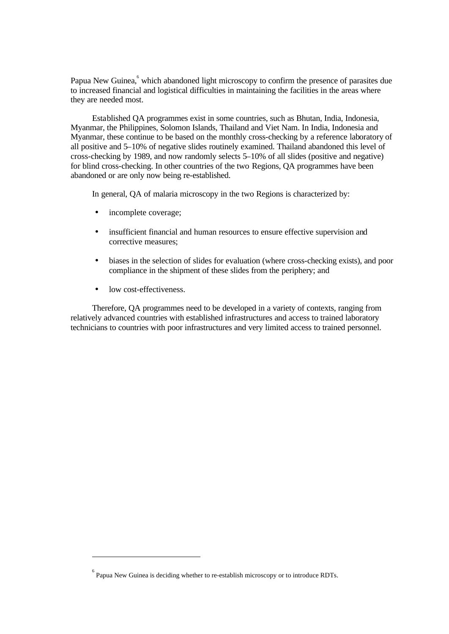Papua New Guinea, which abandoned light microscopy to confirm the presence of parasites due to increased financial and logistical difficulties in maintaining the facilities in the areas where they are needed most.

Established QA programmes exist in some countries, such as Bhutan, India, Indonesia, Myanmar, the Philippines, Solomon Islands, Thailand and Viet Nam. In India, Indonesia and Myanmar, these continue to be based on the monthly cross-checking by a reference laboratory of all positive and 5–10% of negative slides routinely examined. Thailand abandoned this level of cross-checking by 1989, and now randomly selects 5–10% of all slides (positive and negative) for blind cross-checking. In other countries of the two Regions, QA programmes have been abandoned or are only now being re-established.

In general, QA of malaria microscopy in the two Regions is characterized by:

- incomplete coverage;
- insufficient financial and human resources to ensure effective supervision and corrective measures;
- biases in the selection of slides for evaluation (where cross-checking exists), and poor compliance in the shipment of these slides from the periphery; and
- low cost-effectiveness.

l

Therefore, QA programmes need to be developed in a variety of contexts, ranging from relatively advanced countries with established infrastructures and access to trained laboratory technicians to countries with poor infrastructures and very limited access to trained personnel.

 $<sup>6</sup>$  Papua New Guinea is deciding whether to re-establish microscopy or to introduce RDTs.</sup>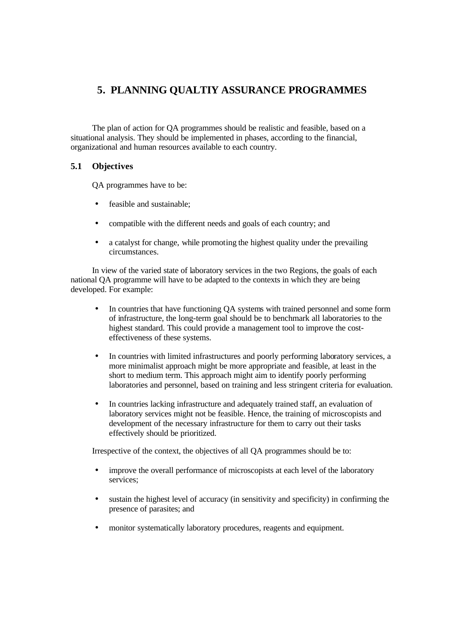# **5. PLANNING QUALTIY ASSURANCE PROGRAMMES**

The plan of action for QA programmes should be realistic and feasible, based on a situational analysis. They should be implemented in phases, according to the financial, organizational and human resources available to each country.

#### **5.1 Objectives**

QA programmes have to be:

- feasible and sustainable;
- compatible with the different needs and goals of each country; and
- a catalyst for change, while promoting the highest quality under the prevailing circumstances.

In view of the varied state of laboratory services in the two Regions, the goals of each national QA programme will have to be adapted to the contexts in which they are being developed. For example:

- In countries that have functioning QA systems with trained personnel and some form of infrastructure, the long-term goal should be to benchmark all laboratories to the highest standard. This could provide a management tool to improve the costeffectiveness of these systems.
- In countries with limited infrastructures and poorly performing laboratory services, a more minimalist approach might be more appropriate and feasible, at least in the short to medium term. This approach might aim to identify poorly performing laboratories and personnel, based on training and less stringent criteria for evaluation.
- In countries lacking infrastructure and adequately trained staff, an evaluation of laboratory services might not be feasible. Hence, the training of microscopists and development of the necessary infrastructure for them to carry out their tasks effectively should be prioritized.

Irrespective of the context, the objectives of all QA programmes should be to:

- improve the overall performance of microscopists at each level of the laboratory services;
- sustain the highest level of accuracy (in sensitivity and specificity) in confirming the presence of parasites; and
- monitor systematically laboratory procedures, reagents and equipment.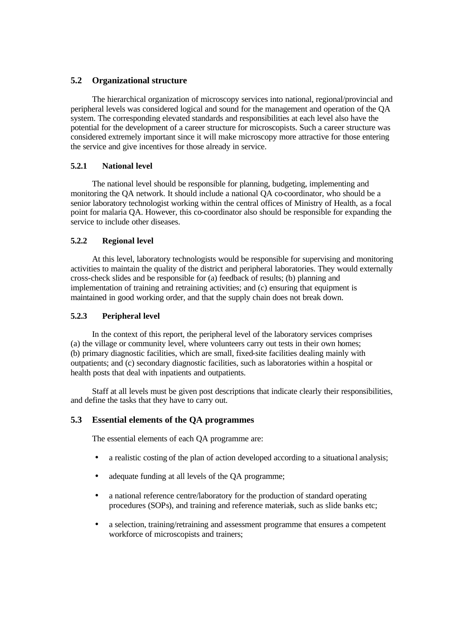#### **5.2 Organizational structure**

The hierarchical organization of microscopy services into national, regional/provincial and peripheral levels was considered logical and sound for the management and operation of the QA system. The corresponding elevated standards and responsibilities at each level also have the potential for the development of a career structure for microscopists. Such a career structure was considered extremely important since it will make microscopy more attractive for those entering the service and give incentives for those already in service.

#### **5.2.1 National level**

The national level should be responsible for planning, budgeting, implementing and monitoring the QA network. It should include a national QA co-coordinator, who should be a senior laboratory technologist working within the central offices of Ministry of Health, as a focal point for malaria QA. However, this co-coordinator also should be responsible for expanding the service to include other diseases.

#### **5.2.2 Regional level**

At this level, laboratory technologists would be responsible for supervising and monitoring activities to maintain the quality of the district and peripheral laboratories. They would externally cross-check slides and be responsible for (a) feedback of results; (b) planning and implementation of training and retraining activities; and (c) ensuring that equipment is maintained in good working order, and that the supply chain does not break down.

#### **5.2.3 Peripheral level**

In the context of this report, the peripheral level of the laboratory services comprises (a) the village or community level, where volunteers carry out tests in their own homes; (b) primary diagnostic facilities, which are small, fixed-site facilities dealing mainly with outpatients; and (c) secondary diagnostic facilities, such as laboratories within a hospital or health posts that deal with inpatients and outpatients.

Staff at all levels must be given post descriptions that indicate clearly their responsibilities, and define the tasks that they have to carry out.

#### **5.3 Essential elements of the QA programmes**

The essential elements of each QA programme are:

- a realistic costing of the plan of action developed according to a situational analysis;
- adequate funding at all levels of the QA programme;
- a national reference centre/laboratory for the production of standard operating procedures (SOPs), and training and reference materials, such as slide banks etc;
- a selection, training/retraining and assessment programme that ensures a competent workforce of microscopists and trainers;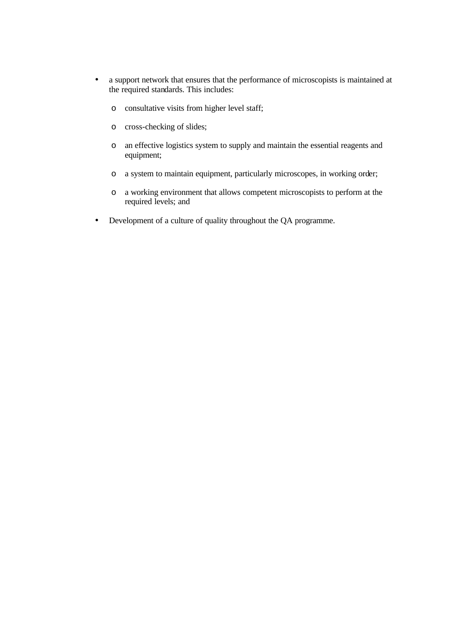- a support network that ensures that the performance of microscopists is maintained at the required standards. This includes:
	- o consultative visits from higher level staff;
	- o cross-checking of slides;
	- o an effective logistics system to supply and maintain the essential reagents and equipment;
	- o a system to maintain equipment, particularly microscopes, in working order;
	- o a working environment that allows competent microscopists to perform at the required levels; and
- Development of a culture of quality throughout the QA programme.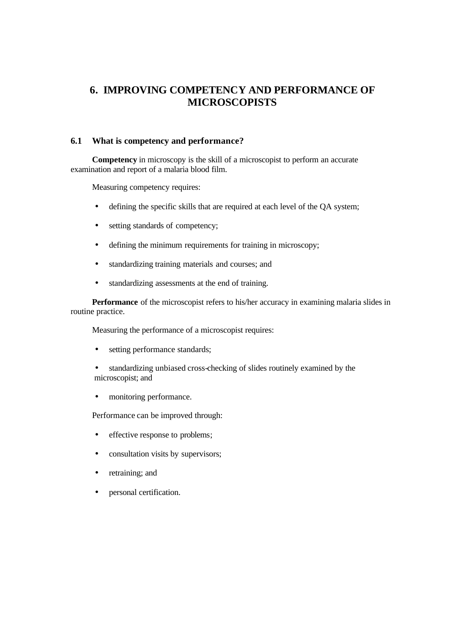# **6. IMPROVING COMPETENCY AND PERFORMANCE OF MICROSCOPISTS**

#### **6.1 What is competency and performance?**

**Competency** in microscopy is the skill of a microscopist to perform an accurate examination and report of a malaria blood film.

Measuring competency requires:

- defining the specific skills that are required at each level of the QA system;
- setting standards of competency;
- defining the minimum requirements for training in microscopy;
- standardizing training materials and courses; and
- standardizing assessments at the end of training.

**Performance** of the microscopist refers to his/her accuracy in examining malaria slides in routine practice.

Measuring the performance of a microscopist requires:

- setting performance standards;
- standardizing unbiased cross-checking of slides routinely examined by the microscopist; and
- monitoring performance.

Performance can be improved through:

- effective response to problems;
- consultation visits by supervisors;
- retraining; and
- personal certification.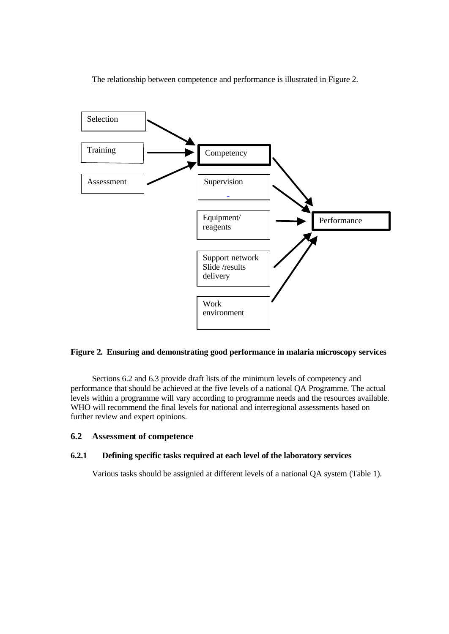The relationship between competence and performance is illustrated in Figure 2.



#### **Figure 2. Ensuring and demonstrating good performance in malaria microscopy services**

Sections 6.2 and 6.3 provide draft lists of the minimum levels of competency and performance that should be achieved at the five levels of a national QA Programme. The actual levels within a programme will vary according to programme needs and the resources available. WHO will recommend the final levels for national and interregional assessments based on further review and expert opinions.

#### **6.2 Assessment of competence**

#### **6.2.1 Defining specific tasks required at each level of the laboratory services**

Various tasks should be assignied at different levels of a national QA system (Table 1).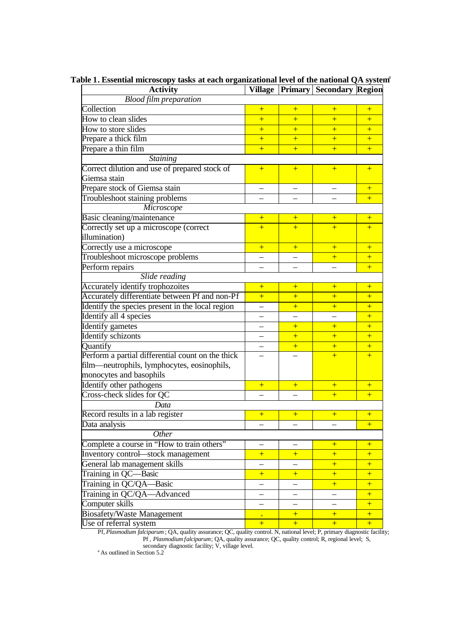| <b>Activity</b>                                   | Village                  |                          | <b>Primary Secondary Region</b> |     |
|---------------------------------------------------|--------------------------|--------------------------|---------------------------------|-----|
| <b>Blood film preparation</b>                     |                          |                          |                                 |     |
| Collection                                        | $\overline{+}$           | $+$                      | $+$                             | $+$ |
| How to clean slides                               | $\overline{+}$           | $+$                      | $\overline{+}$                  | $+$ |
| How to store slides                               | $\overline{+}$           | $+$                      | $+$                             | $+$ |
| Prepare a thick film                              | $+$                      | $+$                      | $\overline{+}$                  | $+$ |
| Prepare a thin film                               | $\ddot{}$                | $+$                      | $\overline{+}$                  | $+$ |
| <b>Staining</b>                                   |                          |                          |                                 |     |
| Correct dilution and use of prepared stock of     | $+$                      | $+$                      | $+$                             | $+$ |
| Giemsa stain                                      |                          |                          |                                 |     |
| Prepare stock of Giemsa stain                     | $\overline{a}$           | $\overline{\phantom{0}}$ |                                 | $+$ |
| Troubleshoot staining problems                    |                          |                          |                                 | $+$ |
| Microscope                                        |                          |                          |                                 |     |
| Basic cleaning/maintenance                        | $+$                      | $+$                      | $+$                             | $+$ |
| Correctly set up a microscope (correct            | $+$                      | $+$                      | $+$                             | $+$ |
| illumination)                                     |                          |                          |                                 |     |
| Correctly use a microscope                        | $+$                      | $+$                      | $\overline{+}$                  | $+$ |
| Troubleshoot microscope problems                  |                          |                          | $\overline{+}$                  | $+$ |
| Perform repairs                                   |                          |                          |                                 | $+$ |
| Slide reading                                     |                          |                          |                                 |     |
| Accurately identify trophozoites                  | $+$                      | $+$                      | $+$                             | $+$ |
| Accurately differentiate between Pf and non-Pf    | $\ddot{}$                | $+$                      | $+$                             | $+$ |
| Identify the species present in the local region  |                          | $+$                      | $\overline{+}$                  | $+$ |
| Identify all 4 species                            |                          |                          |                                 | $+$ |
| <b>Identify</b> gametes                           |                          | $+$                      | $+$                             | $+$ |
| Identify schizonts                                |                          | $+$                      | $+$                             | $+$ |
| Quantify                                          |                          | $+$                      | $+$                             | $+$ |
| Perform a partial differential count on the thick |                          |                          | $\overline{+}$                  | $+$ |
| film—neutrophils, lymphocytes, eosinophils,       |                          |                          |                                 |     |
| monocytes and basophils                           |                          |                          |                                 |     |
| Identify other pathogens                          | $+$                      | $+$                      | $+$                             | $+$ |
| Cross-check slides for QC                         |                          |                          | $+$                             | $+$ |
| Data                                              |                          |                          |                                 |     |
| Record results in a lab register                  | $+$                      | $+$                      | $+$                             | $+$ |
| Data analysis                                     |                          |                          |                                 | +   |
| Other                                             |                          |                          |                                 |     |
| Complete a course in "How to train others"        | —                        | —                        | $+$                             | $+$ |
| Inventory control-stock management                | $+$                      | $+$                      | $+$                             | $+$ |
| General lab management skills                     | $\overline{\phantom{0}}$ |                          | $+$                             | $+$ |
| Training in QC-Basic                              | $+$                      | $+$                      | $+$                             | $+$ |
| Training in QC/QA-Basic                           | $\overline{\phantom{0}}$ |                          | $+$                             | $+$ |
| Training in QC/QA—Advanced                        |                          | $\overline{\phantom{0}}$ |                                 | $+$ |
| Computer skills                                   | $\overline{\phantom{0}}$ | $\equiv$                 | $\overline{\phantom{0}}$        | $+$ |
| <b>Biosafety/Waste Management</b>                 | $+$                      | $+$                      | $+$                             | $+$ |
| Use of referral system                            | $+$                      | $+$                      | $+$                             | $+$ |

Table 1. Essential microscopy tasks at each organizational level of the national QA system<sup>a</sup>

Pf, *Plasmodium falciparum* ; QA, quality assurance; QC, quality control. N, national level; P, primary diagnostic facility; Pf , *Plasmodium falciparum*; QA, quality assurance; QC, quality control; R, regional level; S, secondary diagnostic facility; V, village level.

 $a$ As outlined in Section 5.2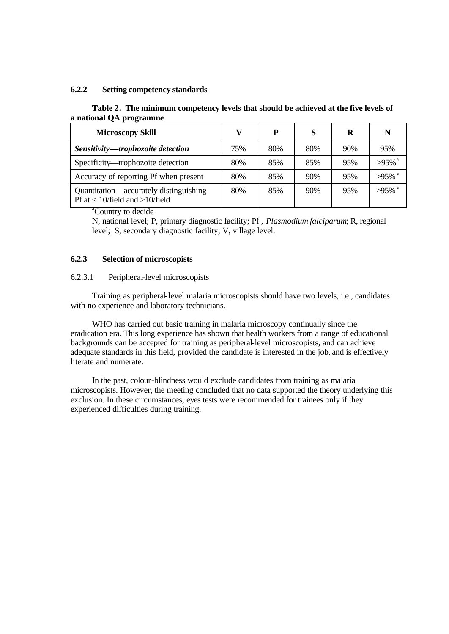#### **6.2.2 Setting competency standards**

#### **Table 2. The minimum competency levels that should be achieved at the five levels of a national QA programme**

| <b>Microscopy Skill</b>                                                        | v   | P   | S   | R   | N                    |
|--------------------------------------------------------------------------------|-----|-----|-----|-----|----------------------|
| Sensitivity-trophozoite detection                                              | 75% | 80% | 80% | 90% | 95%                  |
| Specificity—trophozoite detection                                              | 80% | 85% | 85% | 95% | $>95\%$ <sup>a</sup> |
| Accuracy of reporting Pf when present                                          | 80% | 85% | 90% | 95% | $>95\%$ <sup>a</sup> |
| Quantitation—accurately distinguishing<br>Pf at $< 10$ /field and $>10$ /field | 80% | 85% | 90% | 95% | $>95\%$ <sup>a</sup> |

<sup>a</sup>Country to decide

N, national level; P, primary diagnostic facility; Pf , *Plasmodium falciparum*; R, regional level; S, secondary diagnostic facility; V, village level.

#### **6.2.3 Selection of microscopists**

#### 6.2.3.1 Peripheral-level microscopists

Training as peripheral-level malaria microscopists should have two levels, i.e., candidates with no experience and laboratory technicians.

WHO has carried out basic training in malaria microscopy continually since the eradication era. This long experience has shown that health workers from a range of educational backgrounds can be accepted for training as peripheral-level microscopists, and can achieve adequate standards in this field, provided the candidate is interested in the job, and is effectively literate and numerate.

In the past, colour-blindness would exclude candidates from training as malaria microscopists. However, the meeting concluded that no data supported the theory underlying this exclusion. In these circumstances, eyes tests were recommended for trainees only if they experienced difficulties during training.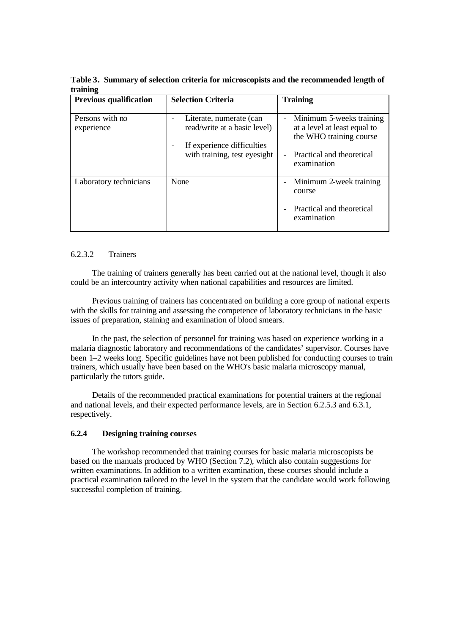| <b>Previous qualification</b> | <b>Selection Criteria</b>                                                                                             | <b>Training</b>                                                                                                                                             |
|-------------------------------|-----------------------------------------------------------------------------------------------------------------------|-------------------------------------------------------------------------------------------------------------------------------------------------------------|
| Persons with no<br>experience | Literate, numerate (can<br>read/write at a basic level)<br>If experience difficulties<br>with training, test eyesight | Minimum 5-weeks training<br>$\overline{\phantom{0}}$<br>at a level at least equal to<br>the WHO training course<br>Practical and theoretical<br>examination |
| Laboratory technicians        | None                                                                                                                  | Minimum 2-week training<br>course<br>Practical and theoretical<br>examination                                                                               |

**Table 3. Summary of selection criteria for microscopists and the recommended length of training**

#### 6.2.3.2 Trainers

The training of trainers generally has been carried out at the national level, though it also could be an intercountry activity when national capabilities and resources are limited.

Previous training of trainers has concentrated on building a core group of national experts with the skills for training and assessing the competence of laboratory technicians in the basic issues of preparation, staining and examination of blood smears.

In the past, the selection of personnel for training was based on experience working in a malaria diagnostic laboratory and recommendations of the candidates' supervisor. Courses have been 1–2 weeks long. Specific guidelines have not been published for conducting courses to train trainers, which usually have been based on the WHO's basic malaria microscopy manual, particularly the tutors guide.

Details of the recommended practical examinations for potential trainers at the regional and national levels, and their expected performance levels, are in Section 6.2.5.3 and 6.3.1, respectively.

#### **6.2.4 Designing training courses**

The workshop recommended that training courses for basic malaria microscopists be based on the manuals produced by WHO (Section 7.2), which also contain suggestions for written examinations. In addition to a written examination, these courses should include a practical examination tailored to the level in the system that the candidate would work following successful completion of training.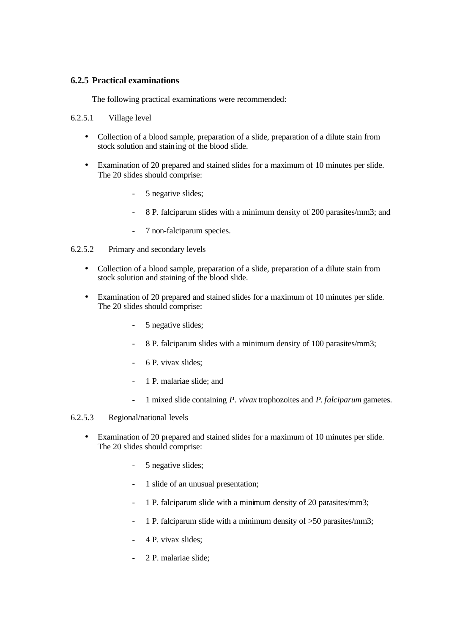#### **6.2.5 Practical examinations**

The following practical examinations were recommended:

#### 6.2.5.1 Village level

- Collection of a blood sample, preparation of a slide, preparation of a dilute stain from stock solution and staining of the blood slide.
- Examination of 20 prepared and stained slides for a maximum of 10 minutes per slide. The 20 slides should comprise:
	- 5 negative slides;
	- 8 P. falciparum slides with a minimum density of 200 parasites/mm3; and
	- 7 non-falciparum species.
- 6.2.5.2 Primary and secondary levels
	- Collection of a blood sample, preparation of a slide, preparation of a dilute stain from stock solution and staining of the blood slide.
	- Examination of 20 prepared and stained slides for a maximum of 10 minutes per slide. The 20 slides should comprise:
		- 5 negative slides;
		- 8 P. falciparum slides with a minimum density of 100 parasites/mm3;
		- 6 P. vivax slides;
		- 1 P. malariae slide; and
		- 1 mixed slide containing *P. vivax* trophozoites and *P. falciparum* gametes.

#### 6.2.5.3 Regional/national levels

- Examination of 20 prepared and stained slides for a maximum of 10 minutes per slide. The 20 slides should comprise:
	- 5 negative slides;
	- 1 slide of an unusual presentation;
	- 1 P. falciparum slide with a minimum density of 20 parasites/mm3;
	- 1 P. falciparum slide with a minimum density of  $>50$  parasites/mm3;
	- 4 P. vivax slides;
	- 2 P. malariae slide;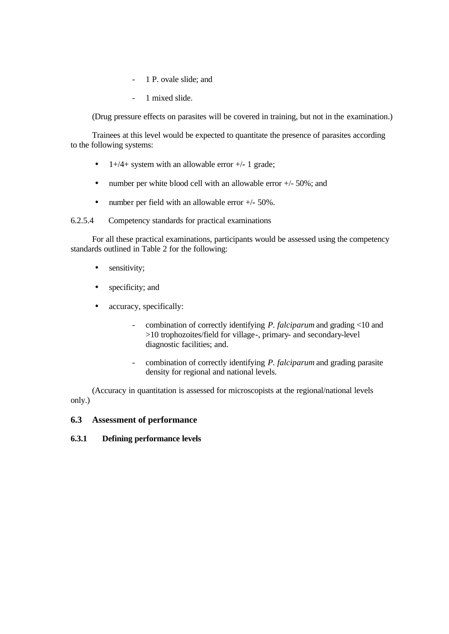- 1 P. ovale slide; and
- 1 mixed slide.

(Drug pressure effects on parasites will be covered in training, but not in the examination.)

Trainees at this level would be expected to quantitate the presence of parasites according to the following systems:

- 1+/4+ system with an allowable error +/**-** 1 grade;
- number per white blood cell with an allowable error  $+/-50\%$ ; and
- number per field with an allowable error +/**-** 50%.

6.2.5.4 Competency standards for practical examinations

For all these practical examinations, participants would be assessed using the competency standards outlined in Table 2 for the following:

- sensitivity;
- specificity; and
- accuracy, specifically:
	- combination of correctly identifying *P. falciparum* and grading <10 and >10 trophozoites/field for village-, primary- and secondary-level diagnostic facilities; and.
	- combination of correctly identifying *P. falciparum* and grading parasite density for regional and national levels.

(Accuracy in quantitation is assessed for microscopists at the regional/national levels only.)

#### **6.3 Assessment of performance**

#### **6.3.1 Defining performance levels**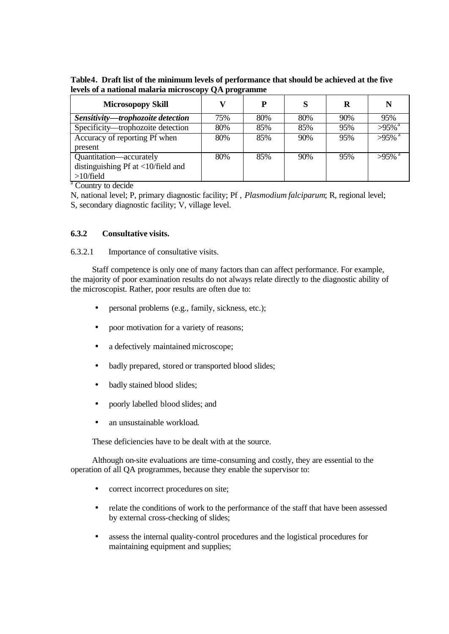**Table4. Draft list of the minimum levels of performance that should be achieved at the five levels of a national malaria microscopy QA programme**

| <b>Microsopopy Skill</b>                            |     | D   | S   | R   | N                    |
|-----------------------------------------------------|-----|-----|-----|-----|----------------------|
| Sensitivity-trophozoite detection                   | 75% | 80% | 80% | 90% | 95%                  |
| Specificity—trophozoite detection                   | 80% | 85% | 85% | 95% | $>95\%$ <sup>a</sup> |
| Accuracy of reporting Pf when                       | 80% | 85% | 90% | 95% | $>95\%$ <sup>a</sup> |
| present                                             |     |     |     |     |                      |
| Quantitation—accurately                             | 80% | 85% | 90% | 95% | $>95\%$ <sup>a</sup> |
| distinguishing Pf at $\langle 10/field \rangle$ and |     |     |     |     |                      |
| $>10$ /field                                        |     |     |     |     |                      |

<sup>a</sup> Country to decide

N, national level; P, primary diagnostic facility; Pf , *Plasmodium falciparum*; R, regional level; S, secondary diagnostic facility; V, village level.

#### **6.3.2 Consultative visits.**

6.3.2.1 Importance of consultative visits.

Staff competence is only one of many factors than can affect performance. For example, the majority of poor examination results do not always relate directly to the diagnostic ability of the microscopist. Rather, poor results are often due to:

- personal problems (e.g., family, sickness, etc.);
- poor motivation for a variety of reasons;
- a defectively maintained microscope;
- badly prepared, stored or transported blood slides;
- badly stained blood slides;
- poorly labelled blood slides; and
- an unsustainable workload.

These deficiencies have to be dealt with at the source.

Although on-site evaluations are time-consuming and costly, they are essential to the operation of all QA programmes, because they enable the supervisor to:

- correct incorrect procedures on site;
- relate the conditions of work to the performance of the staff that have been assessed by external cross-checking of slides;
- assess the internal quality-control procedures and the logistical procedures for maintaining equipment and supplies;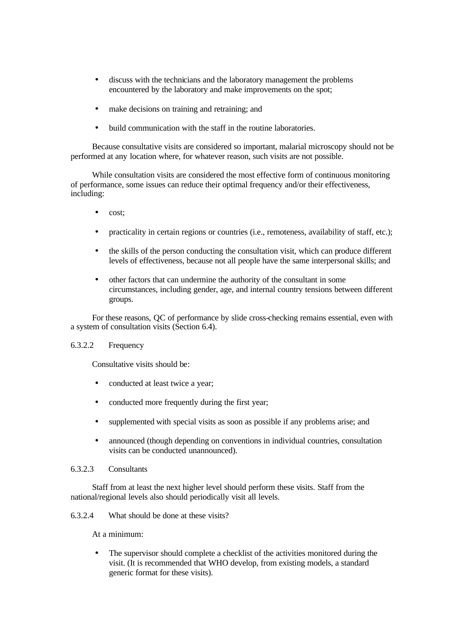- discuss with the technicians and the laboratory management the problems encountered by the laboratory and make improvements on the spot;
- make decisions on training and retraining; and
- build communication with the staff in the routine laboratories.

Because consultative visits are considered so important, malarial microscopy should not be performed at any location where, for whatever reason, such visits are not possible.

While consultation visits are considered the most effective form of continuous monitoring of performance, some issues can reduce their optimal frequency and/or their effectiveness, including:

- cost;
- practicality in certain regions or countries (i.e., remoteness, availability of staff, etc.);
- the skills of the person conducting the consultation visit, which can produce different levels of effectiveness, because not all people have the same interpersonal skills; and
- other factors that can undermine the authority of the consultant in some circumstances, including gender, age, and internal country tensions between different groups.

For these reasons, QC of performance by slide cross-checking remains essential, even with a system of consultation visits (Section 6.4).

#### 6.3.2.2 Frequency

Consultative visits should be:

- conducted at least twice a year;
- conducted more frequently during the first year;
- supplemented with special visits as soon as possible if any problems arise; and
- announced (though depending on conventions in individual countries, consultation visits can be conducted unannounced).

#### 6.3.2.3 Consultants

Staff from at least the next higher level should perform these visits. Staff from the national/regional levels also should periodically visit all levels.

6.3.2.4 What should be done at these visits?

At a minimum:

The supervisor should complete a checklist of the activities monitored during the visit. (It is recommended that WHO develop, from existing models, a standard generic format for these visits).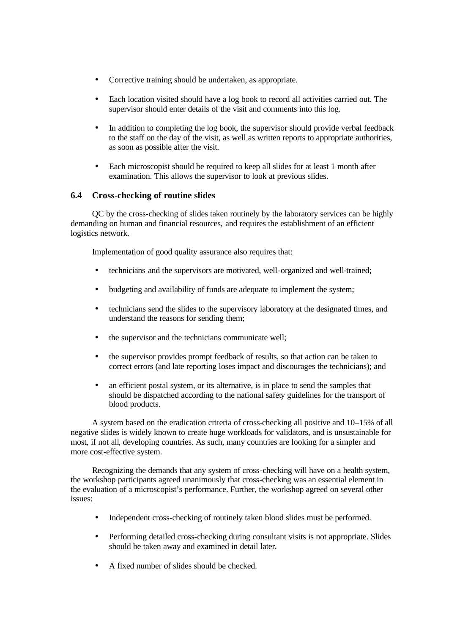- Corrective training should be undertaken, as appropriate.
- Each location visited should have a log book to record all activities carried out. The supervisor should enter details of the visit and comments into this log.
- In addition to completing the log book, the supervisor should provide verbal feedback to the staff on the day of the visit, as well as written reports to appropriate authorities, as soon as possible after the visit.
- Each microscopist should be required to keep all slides for at least 1 month after examination. This allows the supervisor to look at previous slides.

#### **6.4 Cross-checking of routine slides**

QC by the cross-checking of slides taken routinely by the laboratory services can be highly demanding on human and financial resources, and requires the establishment of an efficient logistics network.

Implementation of good quality assurance also requires that:

- technicians and the supervisors are motivated, well-organized and well-trained;
- budgeting and availability of funds are adequate to implement the system;
- technicians send the slides to the supervisory laboratory at the designated times, and understand the reasons for sending them;
- the supervisor and the technicians communicate well;
- the supervisor provides prompt feedback of results, so that action can be taken to correct errors (and late reporting loses impact and discourages the technicians); and
- an efficient postal system, or its alternative, is in place to send the samples that should be dispatched according to the national safety guidelines for the transport of blood products.

A system based on the eradication criteria of cross-checking all positive and 10–15% of all negative slides is widely known to create huge workloads for validators, and is unsustainable for most, if not all, developing countries. As such, many countries are looking for a simpler and more cost-effective system.

Recognizing the demands that any system of cross-checking will have on a health system, the workshop participants agreed unanimously that cross-checking was an essential element in the evaluation of a microscopist's performance. Further, the workshop agreed on several other issues:

- Independent cross-checking of routinely taken blood slides must be performed.
- Performing detailed cross-checking during consultant visits is not appropriate. Slides should be taken away and examined in detail later.
- A fixed number of slides should be checked.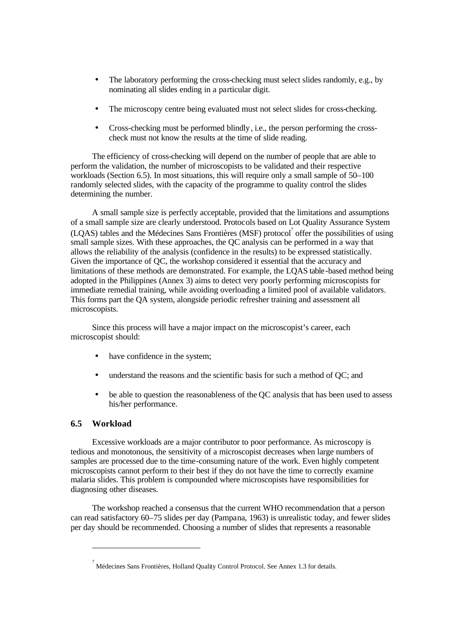- The laboratory performing the cross-checking must select slides randomly, e.g., by nominating all slides ending in a particular digit.
- The microscopy centre being evaluated must not select slides for cross-checking.
- Cross-checking must be performed blindly, i.e., the person performing the crosscheck must not know the results at the time of slide reading.

The efficiency of cross-checking will depend on the number of people that are able to perform the validation, the number of microscopists to be validated and their respective workloads (Section 6.5). In most situations, this will require only a small sample of 50–100 randomly selected slides, with the capacity of the programme to quality control the slides determining the number.

A small sample size is perfectly acceptable, provided that the limitations and assumptions of a small sample size are clearly understood. Protocols based on Lot Quality Assurance System (LQAS) tables and the Médecines Sans Frontières (MSF) protocol<sup>7</sup> offer the possibilities of using small sample sizes. With these approaches, the QC analysis can be performed in a way that allows the reliability of the analysis (confidence in the results) to be expressed statistically. Given the importance of QC, the workshop considered it essential that the accuracy and limitations of these methods are demonstrated. For example, the LQAS table-based method being adopted in the Philippines (Annex 3) aims to detect very poorly performing microscopists for immediate remedial training, while avoiding overloading a limited pool of available validators. This forms part the QA system, alongside periodic refresher training and assessment all microscopists.

Since this process will have a major impact on the microscopist's career, each microscopist should:

- have confidence in the system;
- understand the reasons and the scientific basis for such a method of QC; and
- be able to question the reasonableness of the QC analysis that has been used to assess his/her performance.

#### **6.5 Workload**

l

Excessive workloads are a major contributor to poor performance. As microscopy is tedious and monotonous, the sensitivity of a microscopist decreases when large numbers of samples are processed due to the time-consuming nature of the work. Even highly competent microscopists cannot perform to their best if they do not have the time to correctly examine malaria slides. This problem is compounded where microscopists have responsibilities for diagnosing other diseases.

The workshop reached a consensus that the current WHO recommendation that a person can read satisfactory 60–75 slides per day (Pampana, 1963) is unrealistic today, and fewer slides per day should be recommended. Choosing a number of slides that represents a reasonable

 $^7$  Médecines Sans Frontières, Holland Quality Control Protocol. See Annex 1.3 for details.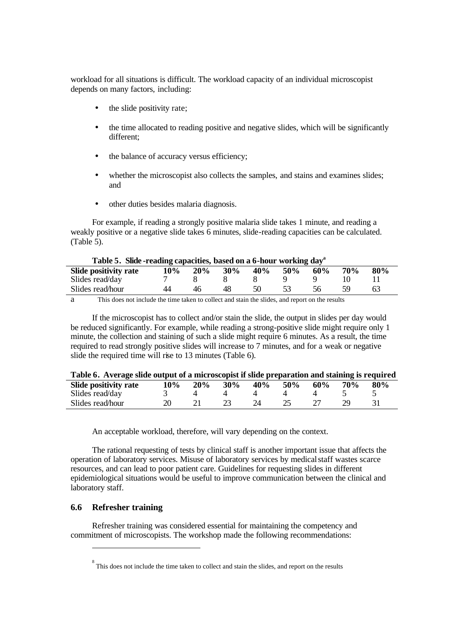workload for all situations is difficult. The workload capacity of an individual microscopist depends on many factors, including:

- the slide positivity rate;
- the time allocated to reading positive and negative slides, which will be significantly different;
- the balance of accuracy versus efficiency;
- whether the microscopist also collects the samples, and stains and examines slides; and
- other duties besides malaria diagnosis.

For example, if reading a strongly positive malaria slide takes 1 minute, and reading a weakly positive or a negative slide takes 6 minutes, slide-reading capacities can be calculated. (Table 5).

| Table 5. Silde-reading capacities, based on a 0-nour working day |     |     |     |     |     |     |            |     |
|------------------------------------------------------------------|-----|-----|-----|-----|-----|-----|------------|-----|
| Slide positivity rate                                            | 10% | 20% | 30% | 40% | 50% | 60% | <b>70%</b> | 80% |
| Slides read/day                                                  |     |     |     |     |     |     |            |     |
| Slides read/hour                                                 | 44  | 46  | 48  |     |     | 56. |            | 63  |

## **Table 5. Slide -reading capacities, based on a 6-hour working day<sup>a</sup>**

a This does not include the time taken to collect and stain the slides, and report on the results

If the microscopist has to collect and/or stain the slide, the output in slides per day would be reduced significantly. For example, while reading a strong-positive slide might require only 1 minute, the collection and staining of such a slide might require 6 minutes. As a result, the time required to read strongly positive slides will increase to 7 minutes, and for a weak or negative slide the required time will rise to 13 minutes (Table 6).

| Table 6. Average slide output of a microscopist if slide preparation and staining is required |               |  |                                    |  |       |
|-----------------------------------------------------------------------------------------------|---------------|--|------------------------------------|--|-------|
| Slide positivity rate                                                                         | $10\% - 20\%$ |  | $30\%$ $40\%$ $50\%$ $60\%$ $70\%$ |  | - 80% |
| Slides read/day                                                                               |               |  | $\overline{4}$ $\overline{4}$      |  |       |

Slides read/hour 20 21 23 24 25 27 29 31

An acceptable workload, therefore, will vary depending on the context.

The rational requesting of tests by clinical staff is another important issue that affects the operation of laboratory services. Misuse of laboratory services by medical staff wastes scarce resources, and can lead to poor patient care. Guidelines for requesting slides in different epidemiological situations would be useful to improve communication between the clinical and laboratory staff.

#### **6.6 Refresher training**

l

Refresher training was considered essential for maintaining the competency and commitment of microscopists. The workshop made the following recommendations:

 $8<sup>8</sup>$  This does not include the time taken to collect and stain the slides, and report on the results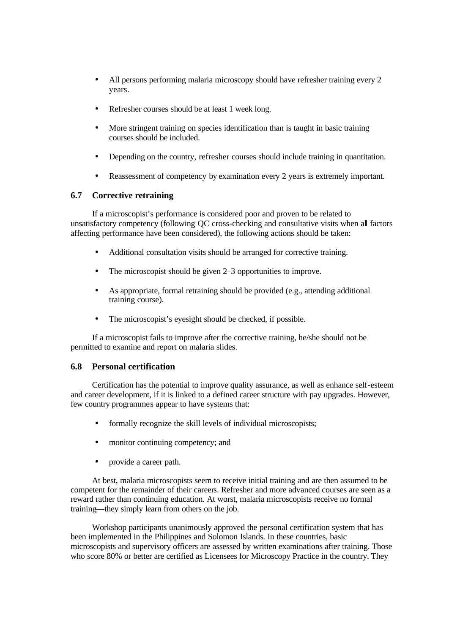- All persons performing malaria microscopy should have refresher training every 2 years.
- Refresher courses should be at least 1 week long.
- More stringent training on species identification than is taught in basic training courses should be included.
- Depending on the country, refresher courses should include training in quantitation.
- Reassessment of competency by examination every 2 years is extremely important.

#### **6.7 Corrective retraining**

If a microscopist's performance is considered poor and proven to be related to unsatisfactory competency (following QC cross-checking and consultative visits when all factors affecting performance have been considered), the following actions should be taken:

- Additional consultation visits should be arranged for corrective training.
- The microscopist should be given 2–3 opportunities to improve.
- As appropriate, formal retraining should be provided (e.g., attending additional training course).
- The microscopist's eyesight should be checked, if possible.

If a microscopist fails to improve after the corrective training, he/she should not be permitted to examine and report on malaria slides.

#### **6.8 Personal certification**

Certification has the potential to improve quality assurance, as well as enhance self-esteem and career development, if it is linked to a defined career structure with pay upgrades. However, few country programmes appear to have systems that:

- formally recognize the skill levels of individual microscopists;
- monitor continuing competency; and
- provide a career path.

At best, malaria microscopists seem to receive initial training and are then assumed to be competent for the remainder of their careers. Refresher and more advanced courses are seen as a reward rather than continuing education. At worst, malaria microscopists receive no formal training—they simply learn from others on the job.

Workshop participants unanimously approved the personal certification system that has been implemented in the Philippines and Solomon Islands. In these countries, basic microscopists and supervisory officers are assessed by written examinations after training. Those who score 80% or better are certified as Licensees for Microscopy Practice in the country. They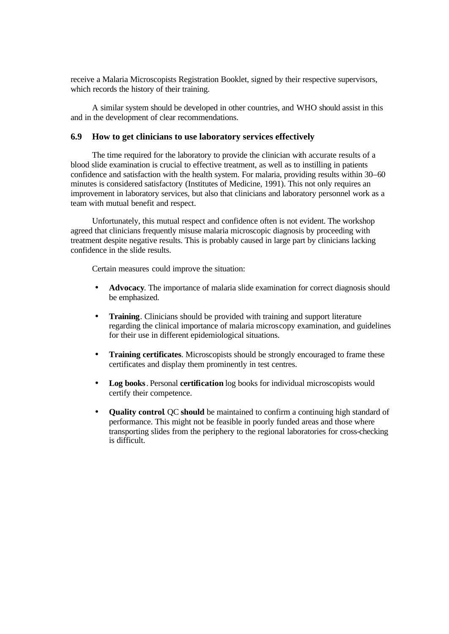receive a Malaria Microscopists Registration Booklet, signed by their respective supervisors, which records the history of their training.

A similar system should be developed in other countries, and WHO should assist in this and in the development of clear recommendations.

#### **6.9 How to get clinicians to use laboratory services effectively**

The time required for the laboratory to provide the clinician with accurate results of a blood slide examination is crucial to effective treatment, as well as to instilling in patients confidence and satisfaction with the health system. For malaria, providing results within 30–60 minutes is considered satisfactory (Institutes of Medicine, 1991). This not only requires an improvement in laboratory services, but also that clinicians and laboratory personnel work as a team with mutual benefit and respect.

Unfortunately, this mutual respect and confidence often is not evident. The workshop agreed that clinicians frequently misuse malaria microscopic diagnosis by proceeding with treatment despite negative results. This is probably caused in large part by clinicians lacking confidence in the slide results.

Certain measures could improve the situation:

- **Advocacy**. The importance of malaria slide examination for correct diagnosis should be emphasized.
- **Training.** Clinicians should be provided with training and support literature regarding the clinical importance of malaria microscopy examination, and guidelines for their use in different epidemiological situations.
- **Training certificates**. Microscopists should be strongly encouraged to frame these certificates and display them prominently in test centres.
- **Log books**. Personal **certification** log books for individual microscopists would certify their competence.
- **Quality control**. QC **should** be maintained to confirm a continuing high standard of performance. This might not be feasible in poorly funded areas and those where transporting slides from the periphery to the regional laboratories for cross-checking is difficult.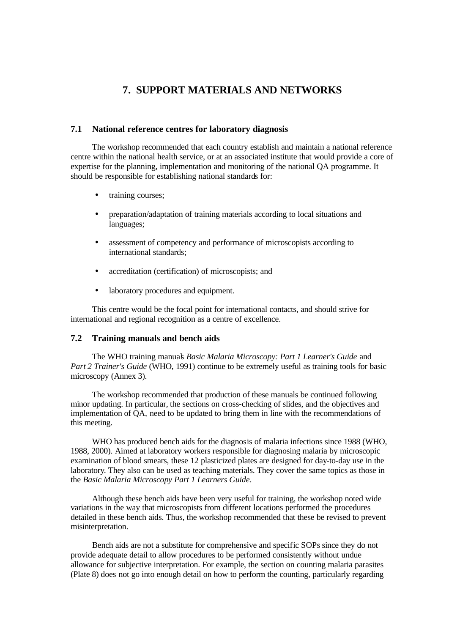## **7. SUPPORT MATERIALS AND NETWORKS**

#### **7.1 National reference centres for laboratory diagnosis**

The workshop recommended that each country establish and maintain a national reference centre within the national health service, or at an associated institute that would provide a core of expertise for the planning, implementation and monitoring of the national QA programme. It should be responsible for establishing national standards for:

- training courses;
- preparation/adaptation of training materials according to local situations and languages;
- assessment of competency and performance of microscopists according to international standards;
- accreditation (certification) of microscopists; and
- laboratory procedures and equipment.

This centre would be the focal point for international contacts, and should strive for international and regional recognition as a centre of excellence.

#### **7.2 Training manuals and bench aids**

The WHO training manuals *Basic Malaria Microscopy: Part 1 Learner's Guide* and *Part 2 Trainer's Guide* (WHO, 1991) continue to be extremely useful as training tools for basic microscopy (Annex 3).

The workshop recommended that production of these manuals be continued following minor updating. In particular, the sections on cross-checking of slides, and the objectives and implementation of QA, need to be updated to bring them in line with the recommendations of this meeting.

WHO has produced bench aids for the diagnosis of malaria infections since 1988 (WHO, 1988, 2000). Aimed at laboratory workers responsible for diagnosing malaria by microscopic examination of blood smears, these 12 plasticized plates are designed for day-to-day use in the laboratory. They also can be used as teaching materials. They cover the same topics as those in the *Basic Malaria Microscopy Part 1 Learners Guide*.

Although these bench aids have been very useful for training, the workshop noted wide variations in the way that microscopists from different locations performed the procedures detailed in these bench aids. Thus, the workshop recommended that these be revised to prevent misinterpretation.

Bench aids are not a substitute for comprehensive and specific SOPs since they do not provide adequate detail to allow procedures to be performed consistently without undue allowance for subjective interpretation. For example, the section on counting malaria parasites (Plate 8) does not go into enough detail on how to perform the counting, particularly regarding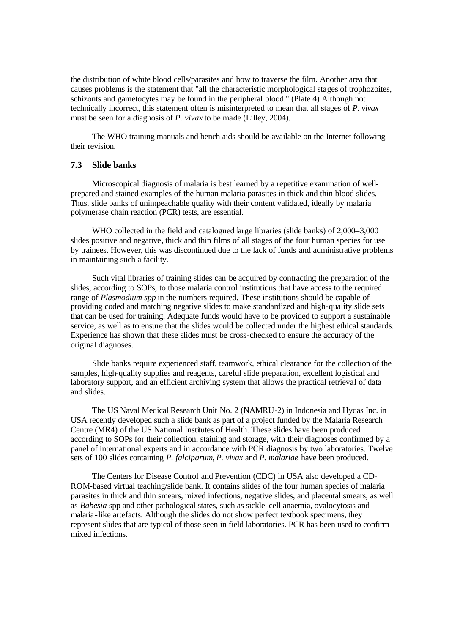the distribution of white blood cells/parasites and how to traverse the film. Another area that causes problems is the statement that "all the characteristic morphological stages of trophozoites, schizonts and gametocytes may be found in the peripheral blood." (Plate 4) Although not technically incorrect, this statement often is misinterpreted to mean that all stages of *P. vivax* must be seen for a diagnosis of *P. vivax* to be made (Lilley, 2004).

The WHO training manuals and bench aids should be available on the Internet following their revision.

#### **7.3 Slide banks**

Microscopical diagnosis of malaria is best learned by a repetitive examination of wellprepared and stained examples of the human malaria parasites in thick and thin blood slides. Thus, slide banks of unimpeachable quality with their content validated, ideally by malaria polymerase chain reaction (PCR) tests, are essential.

WHO collected in the field and catalogued large libraries (slide banks) of 2,000–3,000 slides positive and negative, thick and thin films of all stages of the four human species for use by trainees. However, this was discontinued due to the lack of funds and administrative problems in maintaining such a facility.

Such vital libraries of training slides can be acquired by contracting the preparation of the slides, according to SOPs, to those malaria control institutions that have access to the required range of *Plasmodium spp* in the numbers required. These institutions should be capable of providing coded and matching negative slides to make standardized and high-quality slide sets that can be used for training. Adequate funds would have to be provided to support a sustainable service, as well as to ensure that the slides would be collected under the highest ethical standards. Experience has shown that these slides must be cross-checked to ensure the accuracy of the original diagnoses.

Slide banks require experienced staff, teamwork, ethical clearance for the collection of the samples, high-quality supplies and reagents, careful slide preparation, excellent logistical and laboratory support, and an efficient archiving system that allows the practical retrieval of data and slides.

The US Naval Medical Research Unit No. 2 (NAMRU-2) in Indonesia and Hydas Inc. in USA recently developed such a slide bank as part of a project funded by the Malaria Research Centre (MR4) of the US National Institutes of Health. These slides have been produced according to SOPs for their collection, staining and storage, with their diagnoses confirmed by a panel of international experts and in accordance with PCR diagnosis by two laboratories. Twelve sets of 100 slides containing *P. falciparum*, *P. vivax* and *P. malariae* have been produced.

The Centers for Disease Control and Prevention (CDC) in USA also developed a CD-ROM-based virtual teaching/slide bank. It contains slides of the four human species of malaria parasites in thick and thin smears, mixed infections, negative slides, and placental smears, as well as *Babesia* spp and other pathological states, such as sickle -cell anaemia, ovalocytosis and malaria-like artefacts. Although the slides do not show perfect textbook specimens, they represent slides that are typical of those seen in field laboratories. PCR has been used to confirm mixed infections.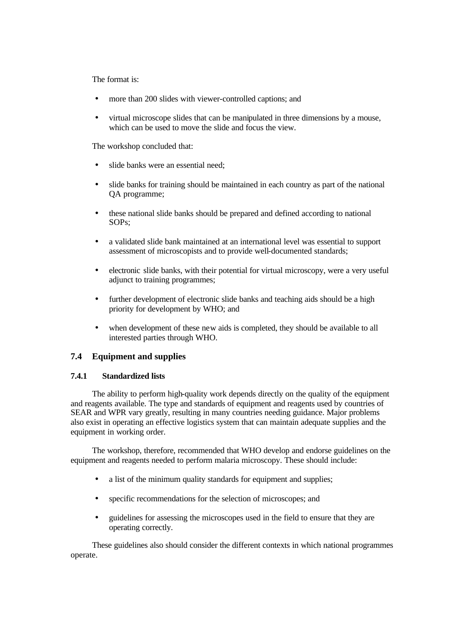The format is:

- more than 200 slides with viewer-controlled captions; and
- virtual microscope slides that can be manipulated in three dimensions by a mouse, which can be used to move the slide and focus the view.

The workshop concluded that:

- slide banks were an essential need;
- slide banks for training should be maintained in each country as part of the national QA programme;
- these national slide banks should be prepared and defined according to national SOPs;
- a validated slide bank maintained at an international level was essential to support assessment of microscopists and to provide well-documented standards;
- electronic slide banks, with their potential for virtual microscopy, were a very useful adjunct to training programmes;
- further development of electronic slide banks and teaching aids should be a high priority for development by WHO; and
- when development of these new aids is completed, they should be available to all interested parties through WHO.

#### **7.4 Equipment and supplies**

#### **7.4.1 Standardized lists**

The ability to perform high-quality work depends directly on the quality of the equipment and reagents available. The type and standards of equipment and reagents used by countries of SEAR and WPR vary greatly, resulting in many countries needing guidance. Major problems also exist in operating an effective logistics system that can maintain adequate supplies and the equipment in working order.

The workshop, therefore, recommended that WHO develop and endorse guidelines on the equipment and reagents needed to perform malaria microscopy. These should include:

- a list of the minimum quality standards for equipment and supplies;
- specific recommendations for the selection of microscopes; and
- guidelines for assessing the microscopes used in the field to ensure that they are operating correctly.

These guidelines also should consider the different contexts in which national programmes operate.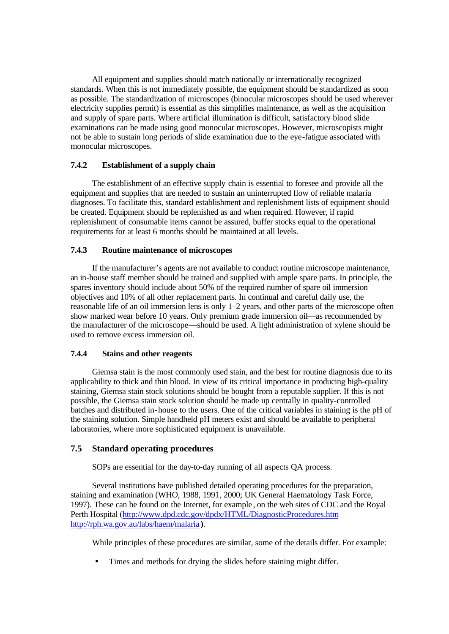All equipment and supplies should match nationally or internationally recognized standards. When this is not immediately possible, the equipment should be standardized as soon as possible. The standardization of microscopes (binocular microscopes should be used wherever electricity supplies permit) is essential as this simplifies maintenance, as well as the acquisition and supply of spare parts. Where artificial illumination is difficult, satisfactory blood slide examinations can be made using good monocular microscopes. However, microscopists might not be able to sustain long periods of slide examination due to the eye-fatigue associated with monocular microscopes.

#### **7.4.2 Establishment of a supply chain**

The establishment of an effective supply chain is essential to foresee and provide all the equipment and supplies that are needed to sustain an uninterrupted flow of reliable malaria diagnoses. To facilitate this, standard establishment and replenishment lists of equipment should be created. Equipment should be replenished as and when required. However, if rapid replenishment of consumable items cannot be assured, buffer stocks equal to the operational requirements for at least 6 months should be maintained at all levels.

#### **7.4.3 Routine maintenance of microscopes**

If the manufacturer's agents are not available to conduct routine microscope maintenance, an in-house staff member should be trained and supplied with ample spare parts. In principle, the spares inventory should include about 50% of the required number of spare oil immersion objectives and 10% of all other replacement parts. In continual and careful daily use, the reasonable life of an oil immersion lens is only 1–2 years, and other parts of the microscope often show marked wear before 10 years. Only premium grade immersion oil—as recommended by the manufacturer of the microscope—should be used. A light administration of xylene should be used to remove excess immersion oil.

#### **7.4.4 Stains and other reagents**

Giemsa stain is the most commonly used stain, and the best for routine diagnosis due to its applicability to thick and thin blood. In view of its critical importance in producing high-quality staining, Giemsa stain stock solutions should be bought from a reputable supplier. If this is not possible, the Giemsa stain stock solution should be made up centrally in quality-controlled batches and distributed in-house to the users. One of the critical variables in staining is the pH of the staining solution. Simple handheld pH meters exist and should be available to peripheral laboratories, where more sophisticated equipment is unavailable.

#### **7.5 Standard operating procedures**

SOPs are essential for the day-to-day running of all aspects QA process.

Several institutions have published detailed operating procedures for the preparation, staining and examination (WHO, 1988, 1991, 2000; UK General Haematology Task Force, 1997). These can be found on the Internet, for example , on the web sites of CDC and the Royal Perth Hospital (http://www.dpd.cdc.gov/dpdx/HTML/DiagnosticProcedures.htm http://rph.wa.gov.au/labs/haem/malaria **)**.

While principles of these procedures are similar, some of the details differ. For example:

Times and methods for drying the slides before staining might differ.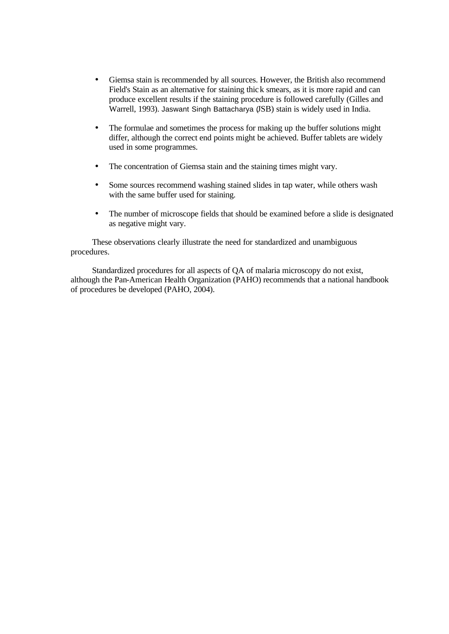- Giemsa stain is recommended by all sources. However, the British also recommend Field's Stain as an alternative for staining thick smears, as it is more rapid and can produce excellent results if the staining procedure is followed carefully (Gilles and Warrell, 1993). Jaswant Singh Battacharya (JSB) stain is widely used in India.
- The formulae and sometimes the process for making up the buffer solutions might differ, although the correct end points might be achieved. Buffer tablets are widely used in some programmes.
- The concentration of Giemsa stain and the staining times might vary.
- Some sources recommend washing stained slides in tap water, while others wash with the same buffer used for staining.
- The number of microscope fields that should be examined before a slide is designated as negative might vary.

These observations clearly illustrate the need for standardized and unambiguous procedures.

Standardized procedures for all aspects of QA of malaria microscopy do not exist, although the Pan-American Health Organization (PAHO) recommends that a national handbook of procedures be developed (PAHO, 2004).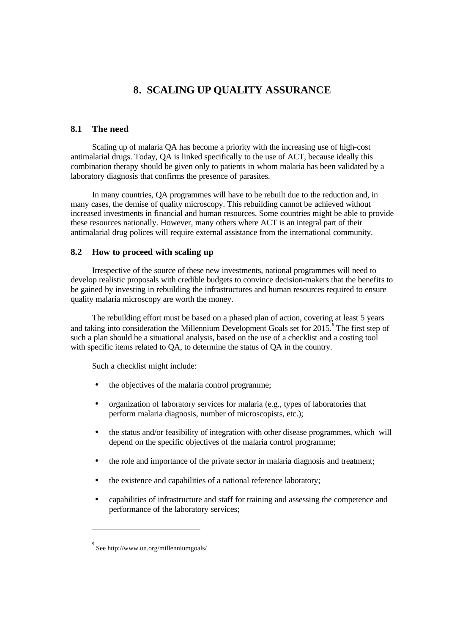# **8. SCALING UP QUALITY ASSURANCE**

# **8.1 The need**

Scaling up of malaria QA has become a priority with the increasing use of high-cost antimalarial drugs. Today, QA is linked specifically to the use of ACT, because ideally this combination therapy should be given only to patients in whom malaria has been validated by a laboratory diagnosis that confirms the presence of parasites.

In many countries, QA programmes will have to be rebuilt due to the reduction and, in many cases, the demise of quality microscopy. This rebuilding cannot be achieved without increased investments in financial and human resources. Some countries might be able to provide these resources nationally. However, many others where ACT is an integral part of their antimalarial drug polices will require external assistance from the international community.

### **8.2 How to proceed with scaling up**

Irrespective of the source of these new investments, national programmes will need to develop realistic proposals with credible budgets to convince decision-makers that the benefits to be gained by investing in rebuilding the infrastructures and human resources required to ensure quality malaria microscopy are worth the money.

The rebuilding effort must be based on a phased plan of action, covering at least 5 years and taking into consideration the Millennium Development Goals set for  $2015$ . The first step of such a plan should be a situational analysis, based on the use of a checklist and a costing tool with specific items related to QA, to determine the status of QA in the country.

Such a checklist might include:

- the objectives of the malaria control programme;
- organization of laboratory services for malaria (e.g., types of laboratories that perform malaria diagnosis, number of microscopists, etc.);
- the status and/or feasibility of integration with other disease programmes, which will depend on the specific objectives of the malaria control programme;
- the role and importance of the private sector in malaria diagnosis and treatment;
- the existence and capabilities of a national reference laboratory;
- capabilities of infrastructure and staff for training and assessing the competence and performance of the laboratory services;

l

<sup>9</sup> See http://www.un.org/millenniumgoals/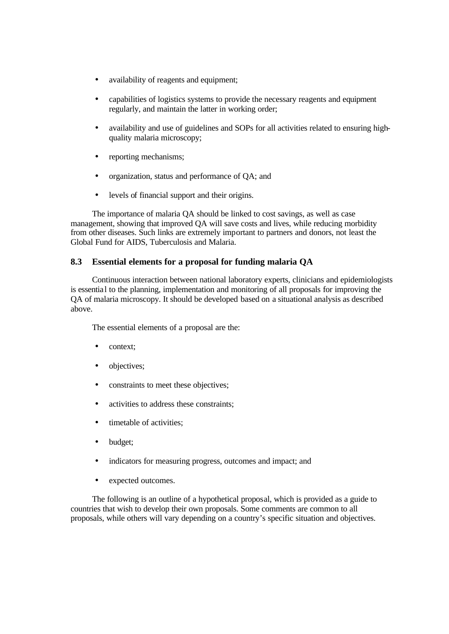- availability of reagents and equipment;
- capabilities of logistics systems to provide the necessary reagents and equipment regularly, and maintain the latter in working order;
- availability and use of guidelines and SOPs for all activities related to ensuring highquality malaria microscopy;
- reporting mechanisms;
- organization, status and performance of QA; and
- levels of financial support and their origins.

The importance of malaria QA should be linked to cost savings, as well as case management, showing that improved QA will save costs and lives, while reducing morbidity from other diseases. Such links are extremely important to partners and donors, not least the Global Fund for AIDS, Tuberculosis and Malaria.

# **8.3 Essential elements for a proposal for funding malaria QA**

Continuous interaction between national laboratory experts, clinicians and epidemiologists is essential to the planning, implementation and monitoring of all proposals for improving the QA of malaria microscopy. It should be developed based on a situational analysis as described above.

The essential elements of a proposal are the:

- context;
- objectives;
- constraints to meet these objectives;
- activities to address these constraints;
- timetable of activities;
- budget;
- indicators for measuring progress, outcomes and impact; and
- expected outcomes.

The following is an outline of a hypothetical proposal, which is provided as a guide to countries that wish to develop their own proposals. Some comments are common to all proposals, while others will vary depending on a country's specific situation and objectives.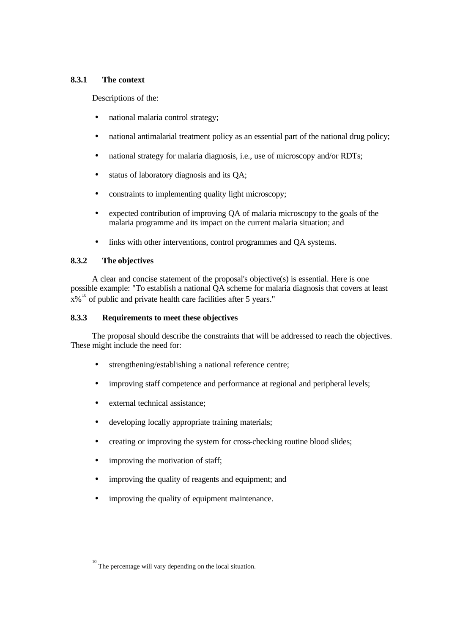# **8.3.1 The context**

Descriptions of the:

- national malaria control strategy;
- national antimalarial treatment policy as an essential part of the national drug policy;
- national strategy for malaria diagnosis, i.e., use of microscopy and/or RDTs;
- status of laboratory diagnosis and its QA;
- constraints to implementing quality light microscopy;
- expected contribution of improving QA of malaria microscopy to the goals of the malaria programme and its impact on the current malaria situation; and
- links with other interventions, control programmes and QA systems.

# **8.3.2 The objectives**

l

A clear and concise statement of the proposal's objective(s) is essential. Here is one possible example: "To establish a national QA scheme for malaria diagnosis that covers at least  $x\%$ <sup>10</sup> of public and private health care facilities after 5 years."

# **8.3.3 Requirements to meet these objectives**

The proposal should describe the constraints that will be addressed to reach the objectives. These might include the need for:

- strengthening/establishing a national reference centre;
- improving staff competence and performance at regional and peripheral levels;
- external technical assistance;
- developing locally appropriate training materials;
- creating or improving the system for cross-checking routine blood slides;
- improving the motivation of staff;
- improving the quality of reagents and equipment; and
- improving the quality of equipment maintenance.

 $10^{10}$  The percentage will vary depending on the local situation.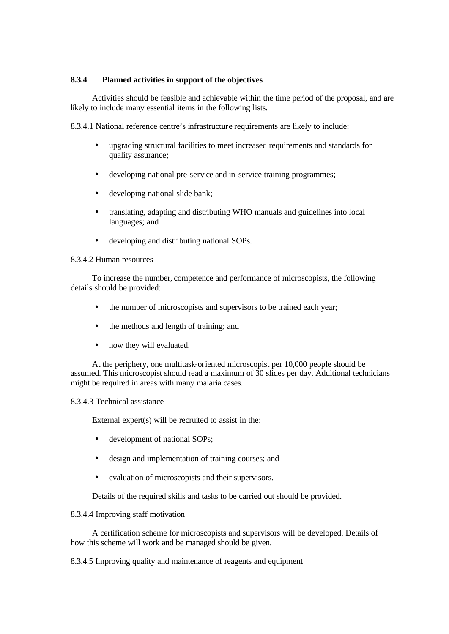## **8.3.4 Planned activities in support of the objectives**

Activities should be feasible and achievable within the time period of the proposal, and are likely to include many essential items in the following lists.

8.3.4.1 National reference centre's infrastructure requirements are likely to include:

- upgrading structural facilities to meet increased requirements and standards for quality assurance;
- developing national pre-service and in-service training programmes;
- developing national slide bank;
- translating, adapting and distributing WHO manuals and guidelines into local languages; and
- developing and distributing national SOPs.

### 8.3.4.2 Human resources

To increase the number, competence and performance of microscopists, the following details should be provided:

- the number of microscopists and supervisors to be trained each year;
- the methods and length of training; and
- how they will evaluated.

At the periphery, one multitask-oriented microscopist per 10,000 people should be assumed. This microscopist should read a maximum of 30 slides per day. Additional technicians might be required in areas with many malaria cases.

### 8.3.4.3 Technical assistance

External expert(s) will be recruited to assist in the:

- development of national SOPs;
- design and implementation of training courses; and
- evaluation of microscopists and their supervisors.

Details of the required skills and tasks to be carried out should be provided.

### 8.3.4.4 Improving staff motivation

A certification scheme for microscopists and supervisors will be developed. Details of how this scheme will work and be managed should be given.

8.3.4.5 Improving quality and maintenance of reagents and equipment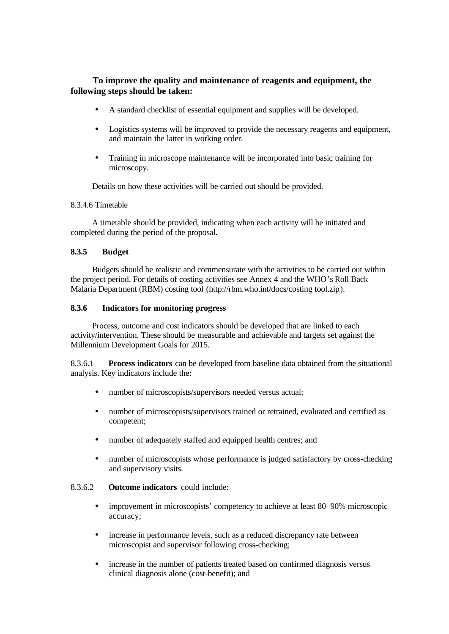# **To improve the quality and maintenance of reagents and equipment, the following steps should be taken:**

- A standard checklist of essential equipment and supplies will be developed.
- Logistics systems will be improved to provide the necessary reagents and equipment, and maintain the latter in working order.
- Training in microscope maintenance will be incorporated into basic training for microscopy.

Details on how these activities will be carried out should be provided.

#### 8.3.4.6 Timetable

A timetable should be provided, indicating when each activity will be initiated and completed during the period of the proposal.

#### **8.3.5 Budget**

Budgets should be realistic and commensurate with the activities to be carried out within the project period. For details of costing activities see Annex 4 and the WHO's Roll Back Malaria Department (RBM) costing tool (http://rbm.who.int/docs/costing tool.zip).

### **8.3.6 Indicators for monitoring progress**

Process, outcome and cost indicators should be developed that are linked to each activity/intervention. These should be measurable and achievable and targets set against the Millennium Development Goals for 2015.

8.3.6.1 **Process indicators** can be developed from baseline data obtained from the situational analysis. Key indicators include the:

- number of microscopists/supervisors needed versus actual;
- number of microscopists/supervisors trained or retrained, evaluated and certified as competent;
- number of adequately staffed and equipped health centres; and
- number of microscopists whose performance is judged satisfactory by cross-checking and supervisory visits.

### 8.3.6.2 **Outcome indicators** could include:

- improvement in microscopists' competency to achieve at least 80–90% microscopic accuracy;
- increase in performance levels, such as a reduced discrepancy rate between microscopist and supervisor following cross-checking;
- increase in the number of patients treated based on confirmed diagnosis versus clinical diagnosis alone (cost-benefit); and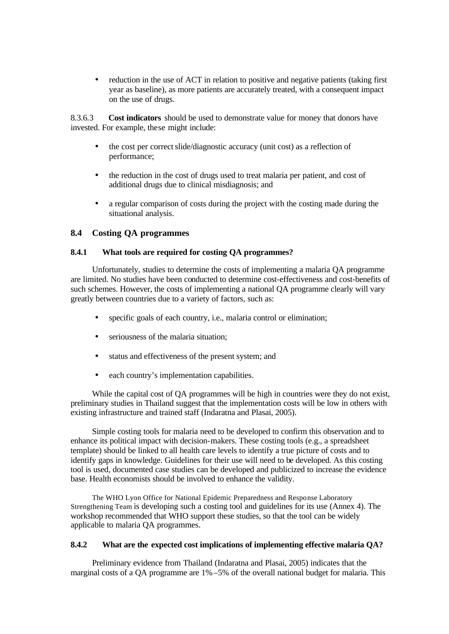• reduction in the use of ACT in relation to positive and negative patients (taking first year as baseline), as more patients are accurately treated, with a consequent impact on the use of drugs.

8.3.6.3 **Cost indicators** should be used to demonstrate value for money that donors have invested. For example, these might include:

- the cost per correct slide/diagnostic accuracy (unit cost) as a reflection of performance;
- the reduction in the cost of drugs used to treat malaria per patient, and cost of additional drugs due to clinical misdiagnosis; and
- a regular comparison of costs during the project with the costing made during the situational analysis.

# **8.4 Costing QA programmes**

## **8.4.1 What tools are required for costing QA programmes?**

Unfortunately, studies to determine the costs of implementing a malaria QA programme are limited. No studies have been conducted to determine cost-effectiveness and cost-benefits of such schemes. However, the costs of implementing a national QA programme clearly will vary greatly between countries due to a variety of factors, such as:

- specific goals of each country, i.e., malaria control or elimination;
- seriousness of the malaria situation;
- status and effectiveness of the present system; and
- each country's implementation capabilities.

While the capital cost of OA programmes will be high in countries were they do not exist, preliminary studies in Thailand suggest that the implementation costs will be low in others with existing infrastructure and trained staff (Indaratna and Plasai, 2005).

Simple costing tools for malaria need to be developed to confirm this observation and to enhance its political impact with decision-makers. These costing tools (e.g., a spreadsheet template) should be linked to all health care levels to identify a true picture of costs and to identify gaps in knowledge. Guidelines for their use will need to be developed. As this costing tool is used, documented case studies can be developed and publicized to increase the evidence base. Health economists should be involved to enhance the validity.

The WHO Lyon Office for National Epidemic Preparedness and Response Laboratory Strengthening Team is developing such a costing tool and guidelines for its use (Annex 4). The workshop recommended that WHO support these studies, so that the tool can be widely applicable to malaria QA programmes.

### **8.4.2 What are the expected cost implications of implementing effective malaria QA?**

Preliminary evidence from Thailand (Indaratna and Plasai, 2005) indicates that the marginal costs of a QA programme are 1%–5% of the overall national budget for malaria. This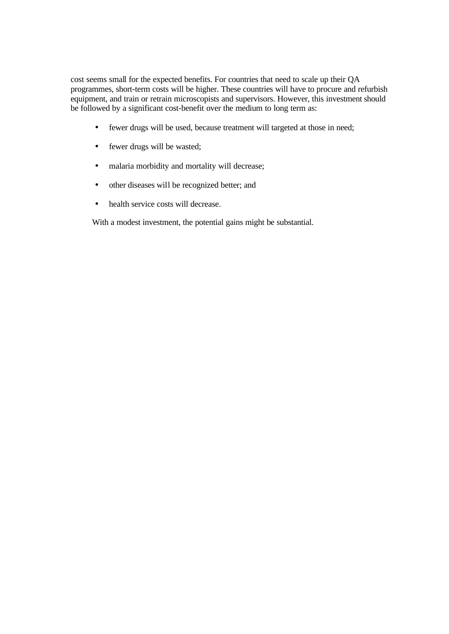cost seems small for the expected benefits. For countries that need to scale up their QA programmes, short-term costs will be higher. These countries will have to procure and refurbish equipment, and train or retrain microscopists and supervisors. However, this investment should be followed by a significant cost-benefit over the medium to long term as:

- fewer drugs will be used, because treatment will targeted at those in need;
- fewer drugs will be wasted;
- malaria morbidity and mortality will decrease;
- other diseases will be recognized better; and
- health service costs will decrease.

With a modest investment, the potential gains might be substantial.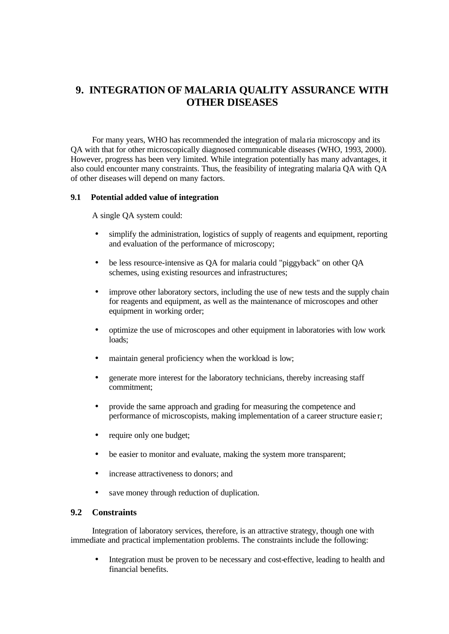# **9. INTEGRATION OF MALARIA QUALITY ASSURANCE WITH OTHER DISEASES**

For many years, WHO has recommended the integration of mala ria microscopy and its QA with that for other microscopically diagnosed communicable diseases (WHO, 1993, 2000). However, progress has been very limited. While integration potentially has many advantages, it also could encounter many constraints. Thus, the feasibility of integrating malaria QA with QA of other diseases will depend on many factors.

### **9.1 Potential added value of integration**

A single QA system could:

- simplify the administration, logistics of supply of reagents and equipment, reporting and evaluation of the performance of microscopy;
- be less resource-intensive as QA for malaria could "piggyback" on other QA schemes, using existing resources and infrastructures;
- improve other laboratory sectors, including the use of new tests and the supply chain for reagents and equipment, as well as the maintenance of microscopes and other equipment in working order;
- optimize the use of microscopes and other equipment in laboratories with low work loads;
- maintain general proficiency when the workload is low;
- generate more interest for the laboratory technicians, thereby increasing staff commitment;
- provide the same approach and grading for measuring the competence and performance of microscopists, making implementation of a career structure easie r;
- require only one budget;
- be easier to monitor and evaluate, making the system more transparent;
- increase attractiveness to donors; and
- save money through reduction of duplication.

### **9.2 Constraints**

Integration of laboratory services, therefore, is an attractive strategy, though one with immediate and practical implementation problems. The constraints include the following:

• Integration must be proven to be necessary and cost-effective, leading to health and financial benefits.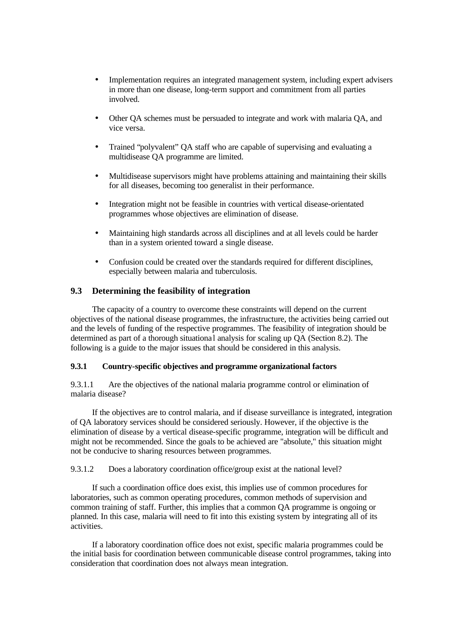- Implementation requires an integrated management system, including expert advisers in more than one disease, long-term support and commitment from all parties involved.
- Other QA schemes must be persuaded to integrate and work with malaria QA, and vice versa.
- Trained "polyvalent" QA staff who are capable of supervising and evaluating a multidisease QA programme are limited.
- Multidisease supervisors might have problems attaining and maintaining their skills for all diseases, becoming too generalist in their performance.
- Integration might not be feasible in countries with vertical disease-orientated programmes whose objectives are elimination of disease.
- Maintaining high standards across all disciplines and at all levels could be harder than in a system oriented toward a single disease.
- Confusion could be created over the standards required for different disciplines, especially between malaria and tuberculosis.

# **9.3 Determining the feasibility of integration**

The capacity of a country to overcome these constraints will depend on the current objectives of the national disease programmes, the infrastructure, the activities being carried out and the levels of funding of the respective programmes. The feasibility of integration should be determined as part of a thorough situational analysis for scaling up QA (Section 8.2). The following is a guide to the major issues that should be considered in this analysis.

### **9.3.1 Country-specific objectives and programme organizational factors**

9.3.1.1 Are the objectives of the national malaria programme control or elimination of malaria disease?

If the objectives are to control malaria, and if disease surveillance is integrated, integration of QA laboratory services should be considered seriously. However, if the objective is the elimination of disease by a vertical disease-specific programme, integration will be difficult and might not be recommended. Since the goals to be achieved are "absolute," this situation might not be conducive to sharing resources between programmes.

9.3.1.2 Does a laboratory coordination office/group exist at the national level?

If such a coordination office does exist, this implies use of common procedures for laboratories, such as common operating procedures, common methods of supervision and common training of staff. Further, this implies that a common QA programme is ongoing or planned. In this case, malaria will need to fit into this existing system by integrating all of its activities.

If a laboratory coordination office does not exist, specific malaria programmes could be the initial basis for coordination between communicable disease control programmes, taking into consideration that coordination does not always mean integration.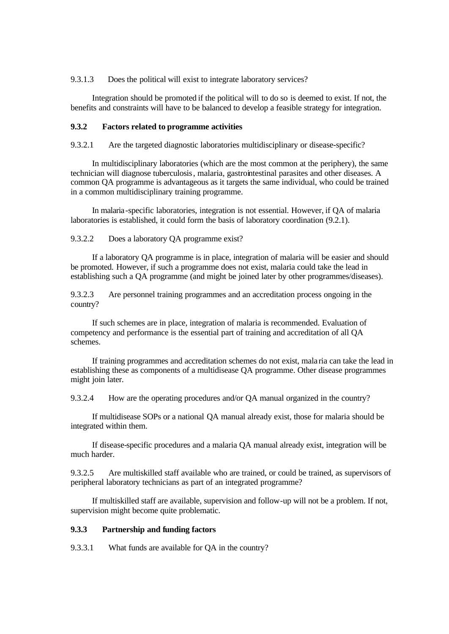9.3.1.3 Does the political will exist to integrate laboratory services?

Integration should be promoted if the political will to do so is deemed to exist. If not, the benefits and constraints will have to be balanced to develop a feasible strategy for integration.

#### **9.3.2 Factors related to programme activities**

9.3.2.1 Are the targeted diagnostic laboratories multidisciplinary or disease-specific?

In multidisciplinary laboratories (which are the most common at the periphery), the same technician will diagnose tuberculosis, malaria, gastrointestinal parasites and other diseases. A common QA programme is advantageous as it targets the same individual, who could be trained in a common multidisciplinary training programme.

In malaria-specific laboratories, integration is not essential. However, if QA of malaria laboratories is established, it could form the basis of laboratory coordination (9.2.1).

9.3.2.2 Does a laboratory QA programme exist?

If a laboratory QA programme is in place, integration of malaria will be easier and should be promoted. However, if such a programme does not exist, malaria could take the lead in establishing such a QA programme (and might be joined later by other programmes/diseases).

9.3.2.3 Are personnel training programmes and an accreditation process ongoing in the country?

If such schemes are in place, integration of malaria is recommended. Evaluation of competency and performance is the essential part of training and accreditation of all QA schemes.

If training programmes and accreditation schemes do not exist, mala ria can take the lead in establishing these as components of a multidisease QA programme. Other disease programmes might join later.

9.3.2.4 How are the operating procedures and/or QA manual organized in the country?

If multidisease SOPs or a national QA manual already exist, those for malaria should be integrated within them.

If disease-specific procedures and a malaria QA manual already exist, integration will be much harder.

9.3.2.5 Are multiskilled staff available who are trained, or could be trained, as supervisors of peripheral laboratory technicians as part of an integrated programme?

If multiskilled staff are available, supervision and follow-up will not be a problem. If not, supervision might become quite problematic.

### **9.3.3 Partnership and funding factors**

9.3.3.1 What funds are available for QA in the country?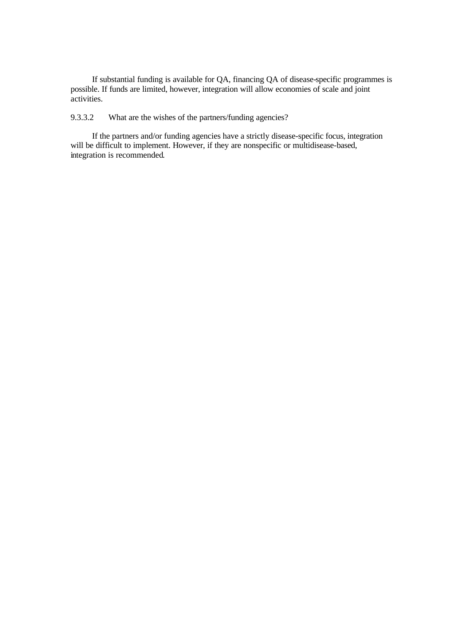If substantial funding is available for QA, financing QA of disease-specific programmes is possible. If funds are limited, however, integration will allow economies of scale and joint activities.

9.3.3.2 What are the wishes of the partners/funding agencies?

If the partners and/or funding agencies have a strictly disease-specific focus, integration will be difficult to implement. However, if they are nonspecific or multidisease-based, integration is recommended.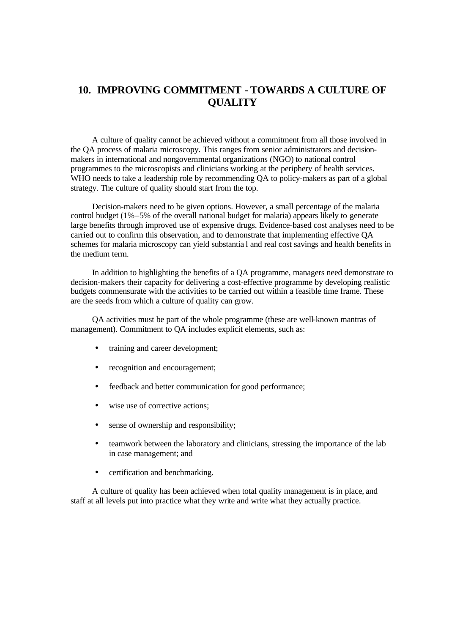# **10. IMPROVING COMMITMENT - TOWARDS A CULTURE OF QUALITY**

A culture of quality cannot be achieved without a commitment from all those involved in the QA process of malaria microscopy. This ranges from senior administrators and decisionmakers in international and nongovernmental organizations (NGO) to national control programmes to the microscopists and clinicians working at the periphery of health services. WHO needs to take a leadership role by recommending QA to policy-makers as part of a global strategy. The culture of quality should start from the top.

Decision-makers need to be given options. However, a small percentage of the malaria control budget (1%–5% of the overall national budget for malaria) appears likely to generate large benefits through improved use of expensive drugs. Evidence-based cost analyses need to be carried out to confirm this observation, and to demonstrate that implementing effective QA schemes for malaria microscopy can yield substantia l and real cost savings and health benefits in the medium term.

In addition to highlighting the benefits of a QA programme, managers need demonstrate to decision-makers their capacity for delivering a cost-effective programme by developing realistic budgets commensurate with the activities to be carried out within a feasible time frame. These are the seeds from which a culture of quality can grow.

QA activities must be part of the whole programme (these are well-known mantras of management). Commitment to QA includes explicit elements, such as:

- training and career development;
- recognition and encouragement;
- feedback and better communication for good performance;
- wise use of corrective actions:
- sense of ownership and responsibility;
- teamwork between the laboratory and clinicians, stressing the importance of the lab in case management; and
- certification and benchmarking.

A culture of quality has been achieved when total quality management is in place, and staff at all levels put into practice what they write and write what they actually practice.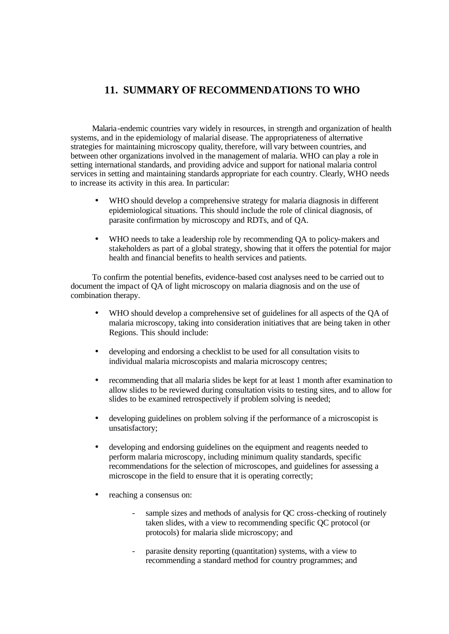# **11. SUMMARY OF RECOMMENDATIONS TO WHO**

Malaria-endemic countries vary widely in resources, in strength and organization of health systems, and in the epidemiology of malarial disease. The appropriateness of alternative strategies for maintaining microscopy quality, therefore, will vary between countries, and between other organizations involved in the management of malaria. WHO can play a role in setting international standards, and providing advice and support for national malaria control services in setting and maintaining standards appropriate for each country. Clearly, WHO needs to increase its activity in this area. In particular:

- WHO should develop a comprehensive strategy for malaria diagnosis in different epidemiological situations. This should include the role of clinical diagnosis, of parasite confirmation by microscopy and RDTs, and of QA.
- WHO needs to take a leadership role by recommending QA to policy-makers and stakeholders as part of a global strategy, showing that it offers the potential for major health and financial benefits to health services and patients.

To confirm the potential benefits, evidence-based cost analyses need to be carried out to document the impact of QA of light microscopy on malaria diagnosis and on the use of combination therapy.

- WHO should develop a comprehensive set of guidelines for all aspects of the QA of malaria microscopy, taking into consideration initiatives that are being taken in other Regions. This should include:
- developing and endorsing a checklist to be used for all consultation visits to individual malaria microscopists and malaria microscopy centres;
- recommending that all malaria slides be kept for at least 1 month after examination to allow slides to be reviewed during consultation visits to testing sites, and to allow for slides to be examined retrospectively if problem solving is needed;
- developing guidelines on problem solving if the performance of a microscopist is unsatisfactory;
- developing and endorsing guidelines on the equipment and reagents needed to perform malaria microscopy, including minimum quality standards, specific recommendations for the selection of microscopes, and guidelines for assessing a microscope in the field to ensure that it is operating correctly;
- reaching a consensus on:
	- sample sizes and methods of analysis for QC cross-checking of routinely taken slides, with a view to recommending specific QC protocol (or protocols) for malaria slide microscopy; and
	- parasite density reporting (quantitation) systems, with a view to recommending a standard method for country programmes; and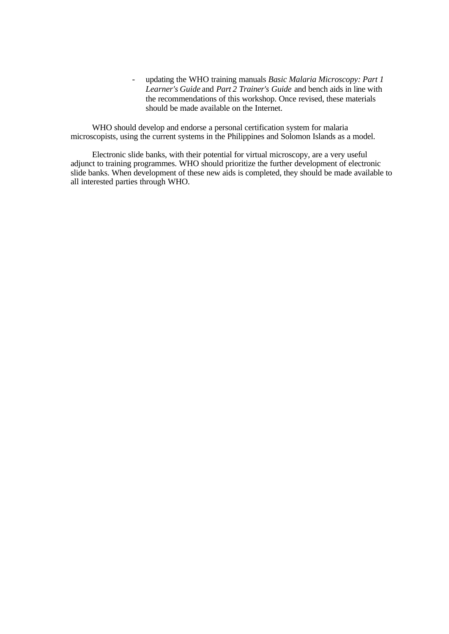- updating the WHO training manuals *Basic Malaria Microscopy: Part 1 Learner's Guide* and *Part 2 Trainer's Guide* and bench aids in line with the recommendations of this workshop. Once revised, these materials should be made available on the Internet.

WHO should develop and endorse a personal certification system for malaria microscopists, using the current systems in the Philippines and Solomon Islands as a model.

Electronic slide banks, with their potential for virtual microscopy, are a very useful adjunct to training programmes. WHO should prioritize the further development of electronic slide banks. When development of these new aids is completed, they should be made available to all interested parties through WHO.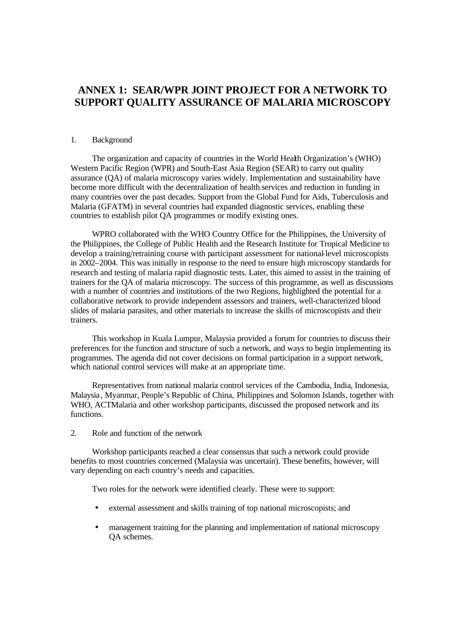# **ANNEX 1: SEAR/WPR JOINT PROJECT FOR A NETWORK TO SUPPORT QUALITY ASSURANCE OF MALARIA MICROSCOPY**

#### 1. Background

The organization and capacity of countries in the World Health Organization's (WHO) Western Pacific Region (WPR) and South-East Asia Region (SEAR) to carry out quality assurance (QA) of malaria microscopy varies widely. Implementation and sustainability have become more difficult with the decentralization of health services and reduction in funding in many countries over the past decades. Support from the Global Fund for Aids, Tuberculosis and Malaria (GFATM) in several countries had expanded diagnostic services, enabling these countries to establish pilot QA programmes or modify existing ones.

WPRO collaborated with the WHO Country Office for the Philippines, the University of the Philippines, the College of Public Health and the Research Institute for Tropical Medicine to develop a training/retraining course with participant assessment for national-level microscopists in 2002–2004. This was initially in response to the need to ensure high microscopy standards for research and testing of malaria rapid diagnostic tests. Later, this aimed to assist in the training of trainers for the QA of malaria microscopy. The success of this programme, as well as discussions with a number of countries and institutions of the two Regions, highlighted the potential for a collaborative network to provide independent assessors and trainers, well-characterized blood slides of malaria parasites, and other materials to increase the skills of microscopists and their trainers.

This workshop in Kuala Lumpur, Malaysia provided a forum for countries to discuss their preferences for the function and structure of such a network, and ways to begin implementing its programmes. The agenda did not cover decisions on formal participation in a support network, which national control services will make at an appropriate time.

Representatives from national malaria control services of the Cambodia, India, Indonesia, Malaysia, Myanmar, People's Republic of China, Philippines and Solomon Islands, together with WHO, ACTMalaria and other workshop participants, discussed the proposed network and its functions.

2. Role and function of the network

Workshop participants reached a clear consensus that such a network could provide benefits to most countries concerned (Malaysia was uncertain). These benefits, however, will vary depending on each country's needs and capacities.

Two roles for the network were identified clearly. These were to support:

- external assessment and skills training of top national microscopists; and
- management training for the planning and implementation of national microscopy QA schemes.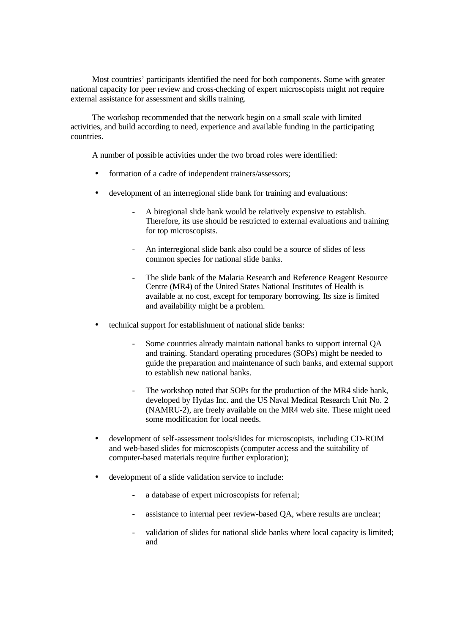Most countries' participants identified the need for both components. Some with greater national capacity for peer review and cross-checking of expert microscopists might not require external assistance for assessment and skills training.

The workshop recommended that the network begin on a small scale with limited activities, and build according to need, experience and available funding in the participating countries.

A number of possible activities under the two broad roles were identified:

- formation of a cadre of independent trainers/assessors;
- development of an interregional slide bank for training and evaluations:
	- A biregional slide bank would be relatively expensive to establish. Therefore, its use should be restricted to external evaluations and training for top microscopists.
	- An interregional slide bank also could be a source of slides of less common species for national slide banks.
	- The slide bank of the Malaria Research and Reference Reagent Resource Centre (MR4) of the United States National Institutes of Health is available at no cost, except for temporary borrowing. Its size is limited and availability might be a problem.
- technical support for establishment of national slide banks:
	- Some countries already maintain national banks to support internal OA and training. Standard operating procedures (SOPs) might be needed to guide the preparation and maintenance of such banks, and external support to establish new national banks.
	- The workshop noted that SOPs for the production of the MR4 slide bank, developed by Hydas Inc. and the US Naval Medical Research Unit No. 2 (NAMRU-2), are freely available on the MR4 web site. These might need some modification for local needs.
- development of self-assessment tools/slides for microscopists, including CD-ROM and web-based slides for microscopists (computer access and the suitability of computer-based materials require further exploration);
- development of a slide validation service to include:
	- a database of expert microscopists for referral;
	- assistance to internal peer review-based QA, where results are unclear;
	- validation of slides for national slide banks where local capacity is limited; and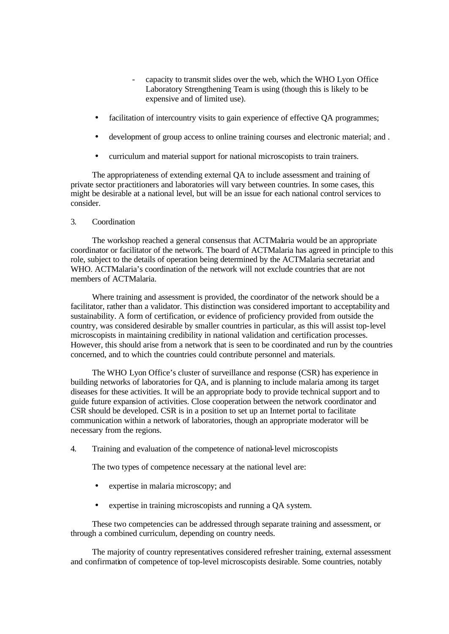- capacity to transmit slides over the web, which the WHO Lyon Office Laboratory Strengthening Team is using (though this is likely to be expensive and of limited use).
- facilitation of intercountry visits to gain experience of effective QA programmes;
- development of group access to online training courses and electronic material; and .
- curriculum and material support for national microscopists to train trainers.

The appropriateness of extending external QA to include assessment and training of private sector practitioners and laboratories will vary between countries. In some cases, this might be desirable at a national level, but will be an issue for each national control services to consider.

#### 3. Coordination

The workshop reached a general consensus that ACTMalaria would be an appropriate coordinator or facilitator of the network. The board of ACTMalaria has agreed in principle to this role, subject to the details of operation being determined by the ACTMalaria secretariat and WHO. ACTMalaria's coordination of the network will not exclude countries that are not members of ACTMalaria.

Where training and assessment is provided, the coordinator of the network should be a facilitator, rather than a validator. This distinction was considered important to acceptability and sustainability. A form of certification, or evidence of proficiency provided from outside the country, was considered desirable by smaller countries in particular, as this will assist top-level microscopists in maintaining credibility in national validation and certification processes. However, this should arise from a network that is seen to be coordinated and run by the countries concerned, and to which the countries could contribute personnel and materials.

The WHO Lyon Office's cluster of surveillance and response (CSR) has experience in building networks of laboratories for QA, and is planning to include malaria among its target diseases for these activities. It will be an appropriate body to provide technical support and to guide future expansion of activities. Close cooperation between the network coordinator and CSR should be developed. CSR is in a position to set up an Internet portal to facilitate communication within a network of laboratories, though an appropriate moderator will be necessary from the regions.

4. Training and evaluation of the competence of national-level microscopists

The two types of competence necessary at the national level are:

- expertise in malaria microscopy; and
- expertise in training microscopists and running a QA system.

These two competencies can be addressed through separate training and assessment, or through a combined curriculum, depending on country needs.

The majority of country representatives considered refresher training, external assessment and confirmation of competence of top-level microscopists desirable. Some countries, notably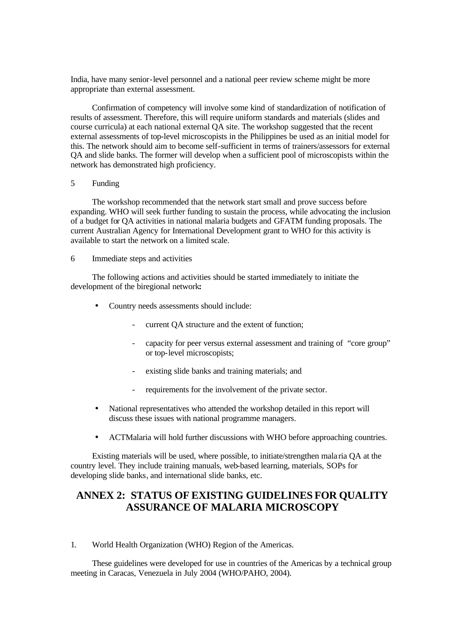India, have many senior-level personnel and a national peer review scheme might be more appropriate than external assessment.

Confirmation of competency will involve some kind of standardization of notification of results of assessment. Therefore, this will require uniform standards and materials (slides and course curricula) at each national external QA site. The workshop suggested that the recent external assessments of top-level microscopists in the Philippines be used as an initial model for this. The network should aim to become self-sufficient in terms of trainers/assessors for external QA and slide banks. The former will develop when a sufficient pool of microscopists within the network has demonstrated high proficiency.

### 5 Funding

The workshop recommended that the network start small and prove success before expanding. WHO will seek further funding to sustain the process, while advocating the inclusion of a budget for QA activities in national malaria budgets and GFATM funding proposals. The current Australian Agency for International Development grant to WHO for this activity is available to start the network on a limited scale.

#### 6 Immediate steps and activities

The following actions and activities should be started immediately to initiate the development of the biregional network**:**

- Country needs assessments should include:
	- current QA structure and the extent of function;
	- capacity for peer versus external assessment and training of "core group" or top-level microscopists;
	- existing slide banks and training materials; and
	- requirements for the involvement of the private sector.
- National representatives who attended the workshop detailed in this report will discuss these issues with national programme managers.
- ACTMalaria will hold further discussions with WHO before approaching countries.

Existing materials will be used, where possible, to initiate/strengthen mala ria QA at the country level. They include training manuals, web-based learning, materials, SOPs for developing slide banks, and international slide banks, etc.

# **ANNEX 2: STATUS OF EXISTING GUIDELINES FOR QUALITY ASSURANCE OF MALARIA MICROSCOPY**

1. World Health Organization (WHO) Region of the Americas.

These guidelines were developed for use in countries of the Americas by a technical group meeting in Caracas, Venezuela in July 2004 (WHO/PAHO, 2004).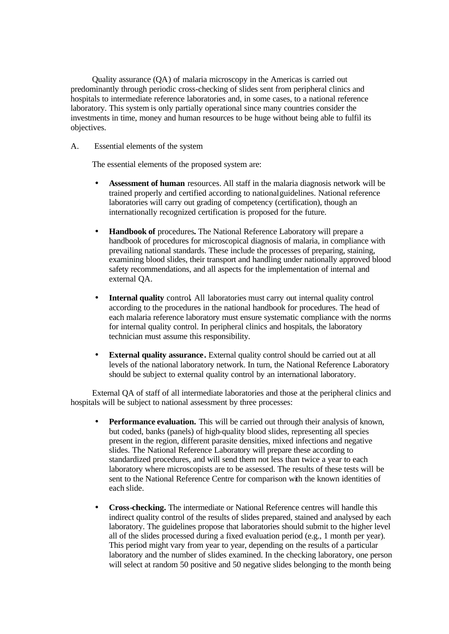Quality assurance (QA) of malaria microscopy in the Americas is carried out predominantly through periodic cross-checking of slides sent from peripheral clinics and hospitals to intermediate reference laboratories and, in some cases, to a national reference laboratory. This system is only partially operational since many countries consider the investments in time, money and human resources to be huge without being able to fulfil its objectives.

A. Essential elements of the system

The essential elements of the proposed system are:

- **Assessment of human** resources. All staff in the malaria diagnosis network will be trained properly and certified according to nationalguidelines. National reference laboratories will carry out grading of competency (certification), though an internationally recognized certification is proposed for the future.
- **Handbook of** procedures*.* The National Reference Laboratory will prepare a handbook of procedures for microscopical diagnosis of malaria, in compliance with prevailing national standards. These include the processes of preparing, staining, examining blood slides, their transport and handling under nationally approved blood safety recommendations, and all aspects for the implementation of internal and external QA.
- **Internal quality** control*.* All laboratories must carry out internal quality control according to the procedures in the national handbook for procedures. The head of each malaria reference laboratory must ensure systematic compliance with the norms for internal quality control. In peripheral clinics and hospitals, the laboratory technician must assume this responsibility.
- **External quality assurance.** External quality control should be carried out at all levels of the national laboratory network. In turn, the National Reference Laboratory should be subject to external quality control by an international laboratory.

External QA of staff of all intermediate laboratories and those at the peripheral clinics and hospitals will be subject to national assessment by three processes:

- **Performance evaluation.** This will be carried out through their analysis of known, but coded, banks (panels) of high-quality blood slides, representing all species present in the region, different parasite densities, mixed infections and negative slides. The National Reference Laboratory will prepare these according to standardized procedures, and will send them not less than twice a year to each laboratory where microscopists are to be assessed. The results of these tests will be sent to the National Reference Centre for comparison with the known identities of each slide.
- **Cross-checking.** The intermediate or National Reference centres will handle this indirect quality control of the results of slides prepared, stained and analysed by each laboratory. The guidelines propose that laboratories should submit to the higher level all of the slides processed during a fixed evaluation period (e.g., 1 month per year). This period might vary from year to year, depending on the results of a particular laboratory and the number of slides examined. In the checking laboratory, one person will select at random 50 positive and 50 negative slides belonging to the month being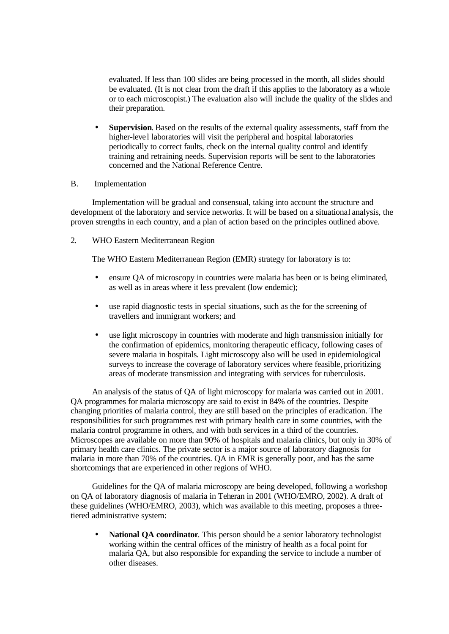evaluated. If less than 100 slides are being processed in the month, all slides should be evaluated. (It is not clear from the draft if this applies to the laboratory as a whole or to each microscopist.) The evaluation also will include the quality of the slides and their preparation.

• **Supervision**. Based on the results of the external quality assessments, staff from the higher-level laboratories will visit the peripheral and hospital laboratories periodically to correct faults, check on the internal quality control and identify training and retraining needs. Supervision reports will be sent to the laboratories concerned and the National Reference Centre.

#### B. Implementation

Implementation will be gradual and consensual, taking into account the structure and development of the laboratory and service networks. It will be based on a situational analysis, the proven strengths in each country, and a plan of action based on the principles outlined above.

2. WHO Eastern Mediterranean Region

The WHO Eastern Mediterranean Region (EMR) strategy for laboratory is to:

- ensure OA of microscopy in countries were malaria has been or is being eliminated, as well as in areas where it less prevalent (low endemic);
- use rapid diagnostic tests in special situations, such as the for the screening of travellers and immigrant workers; and
- use light microscopy in countries with moderate and high transmission initially for the confirmation of epidemics, monitoring therapeutic efficacy, following cases of severe malaria in hospitals. Light microscopy also will be used in epidemiological surveys to increase the coverage of laboratory services where feasible, prioritizing areas of moderate transmission and integrating with services for tuberculosis.

An analysis of the status of QA of light microscopy for malaria was carried out in 2001. QA programmes for malaria microscopy are said to exist in 84% of the countries. Despite changing priorities of malaria control, they are still based on the principles of eradication. The responsibilities for such programmes rest with primary health care in some countries, with the malaria control programme in others, and with both services in a third of the countries. Microscopes are available on more than 90% of hospitals and malaria clinics, but only in 30% of primary health care clinics. The private sector is a major source of laboratory diagnosis for malaria in more than 70% of the countries. QA in EMR is generally poor, and has the same shortcomings that are experienced in other regions of WHO.

Guidelines for the QA of malaria microscopy are being developed, following a workshop on QA of laboratory diagnosis of malaria in Teheran in 2001 (WHO/EMRO, 2002). A draft of these guidelines (WHO/EMRO, 2003), which was available to this meeting, proposes a threetiered administrative system:

• **National QA coordinator**. This person should be a senior laboratory technologist working within the central offices of the ministry of health as a focal point for malaria QA, but also responsible for expanding the service to include a number of other diseases.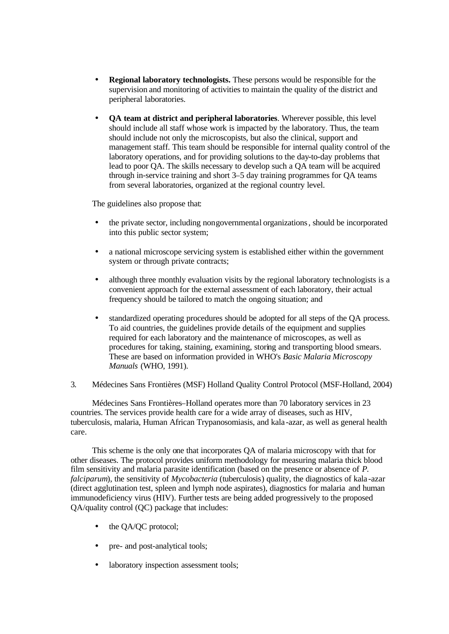- **Regional laboratory technologists.** These persons would be responsible for the supervision and monitoring of activities to maintain the quality of the district and peripheral laboratories.
- **QA team at district and peripheral laboratories**. Wherever possible, this level should include all staff whose work is impacted by the laboratory. Thus, the team should include not only the microscopists, but also the clinical, support and management staff. This team should be responsible for internal quality control of the laboratory operations, and for providing solutions to the day-to-day problems that lead to poor QA. The skills necessary to develop such a QA team will be acquired through in-service training and short 3–5 day training programmes for QA teams from several laboratories, organized at the regional country level.

The guidelines also propose that:

- the private sector, including nongovernmental organizations, should be incorporated into this public sector system;
- a national microscope servicing system is established either within the government system or through private contracts;
- although three monthly evaluation visits by the regional laboratory technologists is a convenient approach for the external assessment of each laboratory, their actual frequency should be tailored to match the ongoing situation; and
- standardized operating procedures should be adopted for all steps of the QA process. To aid countries, the guidelines provide details of the equipment and supplies required for each laboratory and the maintenance of microscopes, as well as procedures for taking, staining, examining, storing and transporting blood smears. These are based on information provided in WHO's *Basic Malaria Microscopy Manuals* (WHO, 1991).
- 3. Médecines Sans Frontières (MSF) Holland Quality Control Protocol (MSF-Holland, 2004)

Médecines Sans Frontières–Holland operates more than 70 laboratory services in 23 countries. The services provide health care for a wide array of diseases, such as HIV, tuberculosis, malaria, Human African Trypanosomiasis, and kala -azar, as well as general health care.

This scheme is the only one that incorporates QA of malaria microscopy with that for other diseases. The protocol provides uniform methodology for measuring malaria thick blood film sensitivity and malaria parasite identification (based on the presence or absence of *P. falciparum*), the sensitivity of *Mycobacteria* (tuberculosis) quality, the diagnostics of kala -azar (direct agglutination test, spleen and lymph node aspirates), diagnostics for malaria and human immunodeficiency virus (HIV). Further tests are being added progressively to the proposed QA/quality control (QC) package that includes:

- the QA/QC protocol;
- pre- and post-analytical tools;
- laboratory inspection assessment tools;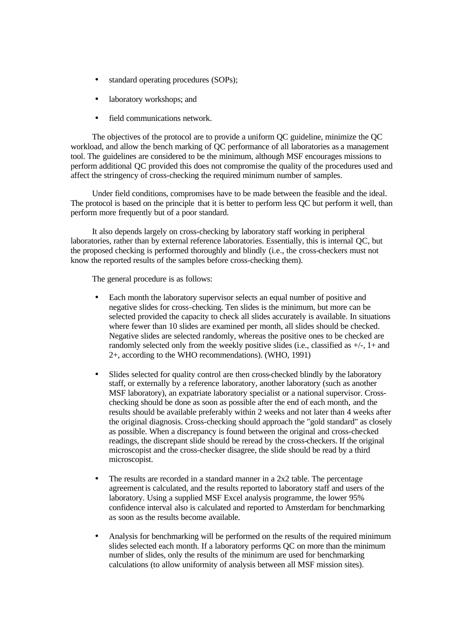- standard operating procedures (SOPs);
- laboratory workshops; and
- field communications network.

The objectives of the protocol are to provide a uniform QC guideline, minimize the QC workload, and allow the bench marking of QC performance of all laboratories as a management tool. The guidelines are considered to be the minimum, although MSF encourages missions to perform additional QC provided this does not compromise the quality of the procedures used and affect the stringency of cross-checking the required minimum number of samples.

Under field conditions, compromises have to be made between the feasible and the ideal. The protocol is based on the principle that it is better to perform less QC but perform it well, than perform more frequently but of a poor standard.

It also depends largely on cross-checking by laboratory staff working in peripheral laboratories, rather than by external reference laboratories. Essentially, this is internal QC, but the proposed checking is performed thoroughly and blindly (i.e., the cross-checkers must not know the reported results of the samples before cross-checking them).

The general procedure is as follows:

- Each month the laboratory supervisor selects an equal number of positive and negative slides for cross-checking. Ten slides is the minimum, but more can be selected provided the capacity to check all slides accurately is available. In situations where fewer than 10 slides are examined per month, all slides should be checked. Negative slides are selected randomly, whereas the positive ones to be checked are randomly selected only from the weekly positive slides (i.e., classified as  $+/-$ ,  $1+$  and 2+, according to the WHO recommendations). (WHO, 1991)
- Slides selected for quality control are then cross-checked blindly by the laboratory staff, or externally by a reference laboratory, another laboratory (such as another MSF laboratory), an expatriate laboratory specialist or a national supervisor. Crosschecking should be done as soon as possible after the end of each month, and the results should be available preferably within 2 weeks and not later than 4 weeks after the original diagnosis. Cross-checking should approach the "gold standard" as closely as possible. When a discrepancy is found between the original and cross-checked readings, the discrepant slide should be reread by the cross-checkers. If the original microscopist and the cross-checker disagree, the slide should be read by a third microscopist.
- The results are recorded in a standard manner in a  $2x2$  table. The percentage agreementis calculated, and the results reported to laboratory staff and users of the laboratory. Using a supplied MSF Excel analysis programme, the lower 95% confidence interval also is calculated and reported to Amsterdam for benchmarking as soon as the results become available.
- Analysis for benchmarking will be performed on the results of the required minimum slides selected each month. If a laboratory performs QC on more than the minimum number of slides, only the results of the minimum are used for benchmarking calculations (to allow uniformity of analysis between all MSF mission sites).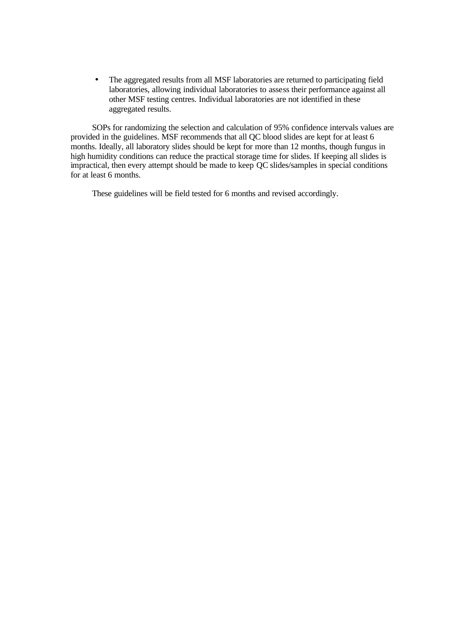• The aggregated results from all MSF laboratories are returned to participating field laboratories, allowing individual laboratories to assess their performance against all other MSF testing centres. Individual laboratories are not identified in these aggregated results.

SOPs for randomizing the selection and calculation of 95% confidence intervals values are provided in the guidelines. MSF recommends that all QC blood slides are kept for at least 6 months. Ideally, all laboratory slides should be kept for more than 12 months, though fungus in high humidity conditions can reduce the practical storage time for slides. If keeping all slides is impractical, then every attempt should be made to keep QC slides/samples in special conditions for at least 6 months.

These guidelines will be field tested for 6 months and revised accordingly.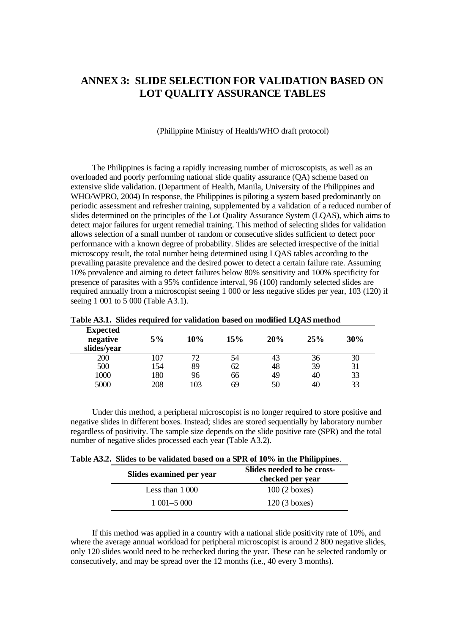# **ANNEX 3: SLIDE SELECTION FOR VALIDATION BASED ON LOT QUALITY ASSURANCE TABLES**

#### (Philippine Ministry of Health/WHO draft protocol)

The Philippines is facing a rapidly increasing number of microscopists, as well as an overloaded and poorly performing national slide quality assurance (QA) scheme based on extensive slide validation. (Department of Health, Manila, University of the Philippines and WHO/WPRO, 2004) In response, the Philippines is piloting a system based predominantly on periodic assessment and refresher training, supplemented by a validation of a reduced number of slides determined on the principles of the Lot Quality Assurance System (LQAS), which aims to detect major failures for urgent remedial training. This method of selecting slides for validation allows selection of a small number of random or consecutive slides sufficient to detect poor performance with a known degree of probability. Slides are selected irrespective of the initial microscopy result, the total number being determined using LQAS tables according to the prevailing parasite prevalence and the desired power to detect a certain failure rate. Assuming 10% prevalence and aiming to detect failures below 80% sensitivity and 100% specificity for presence of parasites with a 95% confidence interval, 96 (100) randomly selected slides are required annually from a microscopist seeing 1 000 or less negative slides per year, 103 (120) if seeing 1 001 to 5 000 (Table A3.1).

| Table A3.1. Slides required for validation based on modified LQAS method |     |     |     |     |     |     |
|--------------------------------------------------------------------------|-----|-----|-----|-----|-----|-----|
| <b>Expected</b><br>negative<br>slides/year                               | 5%  | 10% | 15% | 20% | 25% | 30% |
| 200                                                                      | 107 | 72. | 54  | 43  | 36  | 30  |
| 500                                                                      | 154 | 89  | 62  | 48  | 39  | 31  |
| 1000                                                                     | 180 | 96  | 66  | 49  | 40  | 33  |
| 5000                                                                     | 208 | 103 | 69  | 50  | 40  | 33  |

|  |  |  | Table A3.1. Slides required for validation based on modified LQAS method |
|--|--|--|--------------------------------------------------------------------------|
|--|--|--|--------------------------------------------------------------------------|

Under this method, a peripheral microscopist is no longer required to store positive and negative slides in different boxes. Instead; slides are stored sequentially by laboratory number regardless of positivity. The sample size depends on the slide positive rate (SPR) and the total number of negative slides processed each year (Table A3.2).

| Slides examined per year | Slides needed to be cross-<br>checked per year |
|--------------------------|------------------------------------------------|
| Less than $1000$         | $100(2 \text{ boxes})$                         |
| $1\ 001 - 5\ 000$        | $120(3 \text{ boxes})$                         |

If this method was applied in a country with a national slide positivity rate of 10%, and where the average annual workload for peripheral microscopist is around 2 800 negative slides, only 120 slides would need to be rechecked during the year. These can be selected randomly or consecutively, and may be spread over the 12 months (i.e., 40 every 3 months).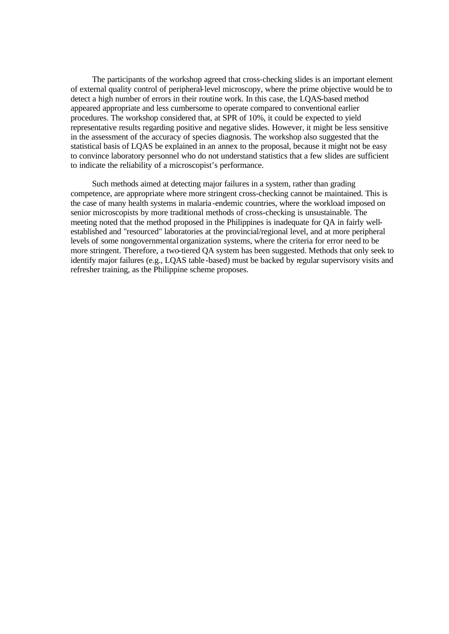The participants of the workshop agreed that cross-checking slides is an important element of external quality control of peripheral-level microscopy, where the prime objective would be to detect a high number of errors in their routine work. In this case, the LQAS-based method appeared appropriate and less cumbersome to operate compared to conventional earlier procedures. The workshop considered that, at SPR of 10%, it could be expected to yield representative results regarding positive and negative slides. However, it might be less sensitive in the assessment of the accuracy of species diagnosis. The workshop also suggested that the statistical basis of LQAS be explained in an annex to the proposal, because it might not be easy to convince laboratory personnel who do not understand statistics that a few slides are sufficient to indicate the reliability of a microscopist's performance.

Such methods aimed at detecting major failures in a system, rather than grading competence, are appropriate where more stringent cross-checking cannot be maintained. This is the case of many health systems in malaria -endemic countries, where the workload imposed on senior microscopists by more traditional methods of cross-checking is unsustainable. The meeting noted that the method proposed in the Philippines is inadequate for QA in fairly wellestablished and "resourced" laboratories at the provincial/regional level, and at more peripheral levels of some nongovernmental organization systems, where the criteria for error need to be more stringent. Therefore, a two-tiered QA system has been suggested. Methods that only seek to identify major failures (e.g., LQAS table -based) must be backed by regular supervisory visits and refresher training, as the Philippine scheme proposes.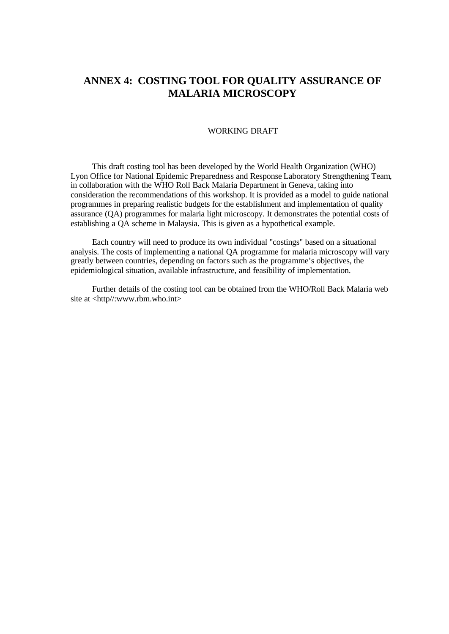# **ANNEX 4: COSTING TOOL FOR QUALITY ASSURANCE OF MALARIA MICROSCOPY**

#### WORKING DRAFT

This draft costing tool has been developed by the World Health Organization (WHO) Lyon Office for National Epidemic Preparedness and Response Laboratory Strengthening Team, in collaboration with the WHO Roll Back Malaria Department in Geneva, taking into consideration the recommendations of this workshop. It is provided as a model to guide national programmes in preparing realistic budgets for the establishment and implementation of quality assurance (QA) programmes for malaria light microscopy. It demonstrates the potential costs of establishing a QA scheme in Malaysia. This is given as a hypothetical example.

Each country will need to produce its own individual "costings" based on a situational analysis. The costs of implementing a national QA programme for malaria microscopy will vary greatly between countries, depending on factors such as the programme's objectives, the epidemiological situation, available infrastructure, and feasibility of implementation.

Further details of the costing tool can be obtained from the WHO/Roll Back Malaria web site at <http//:www.rbm.who.int>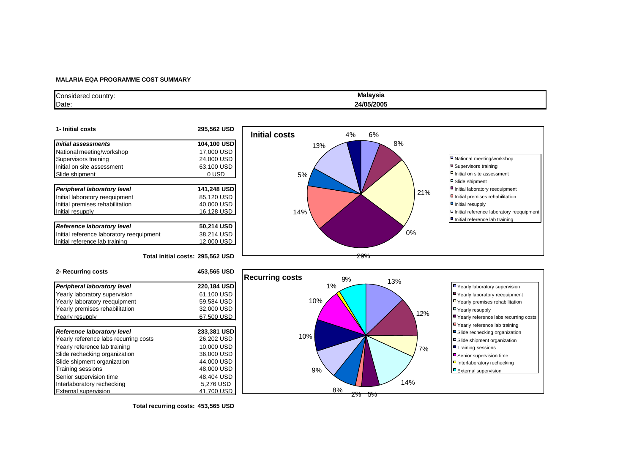#### **MALARIA EQA PROGRAMME COST SUMMARY**

| Considered country: | Malaysia   |
|---------------------|------------|
| Date:               | 24/05/2005 |

| 1- Initial costs                         | 295.562 USD |
|------------------------------------------|-------------|
| Initial assessments                      | 104,100 USD |
| National meeting/workshop                | 17,000 USD  |
| Supervisors training                     | 24.000 USD  |
| Initial on site assessment               | 63,100 USD  |
| Slide shipment                           | 0 USD       |
|                                          |             |
| Peripheral laboratory level              | 141.248 USD |
| Initial laboratory reequipment           | 85,120 USD  |
| Initial premises rehabilitation          | 40,000 USD  |
| Initial resupply                         | 16.128 USD  |
|                                          |             |
| <b>Reference laboratory level</b>        | 50,214 USD  |
| Initial reference laboratory reequipment | 38,214 USD  |
| Initial reference lab training           | 12.000 USD  |



#### **Total initial costs: 295,562 USD**

| 220,184 USD<br>61.100 USD<br>59.584 USD<br>32,000 USD<br>67,500 USD<br>233,381 USD<br>26,202 USD<br>10,000 USD<br>36,000 USD<br>44,000 USD<br>48,000 USD<br>48.404 USD<br>5,276 USD<br>41.700 USD | 2- Recurring costs                    | 453,565 USD |
|---------------------------------------------------------------------------------------------------------------------------------------------------------------------------------------------------|---------------------------------------|-------------|
|                                                                                                                                                                                                   | Peripheral laboratory level           |             |
|                                                                                                                                                                                                   | Yearly laboratory supervision         |             |
|                                                                                                                                                                                                   | Yearly laboratory reequipment         |             |
|                                                                                                                                                                                                   | Yearly premises rehabilitation        |             |
|                                                                                                                                                                                                   | Yearly resupply                       |             |
|                                                                                                                                                                                                   |                                       |             |
|                                                                                                                                                                                                   | <b>Reference laboratory level</b>     |             |
|                                                                                                                                                                                                   | Yearly reference labs recurring costs |             |
|                                                                                                                                                                                                   | Yearly reference lab training         |             |
|                                                                                                                                                                                                   | Slide rechecking organization         |             |
|                                                                                                                                                                                                   | Slide shipment organization           |             |
|                                                                                                                                                                                                   | <b>Training sessions</b>              |             |
|                                                                                                                                                                                                   | Senior supervision time               |             |
|                                                                                                                                                                                                   | Interlaboratory rechecking            |             |
|                                                                                                                                                                                                   | <b>External supervision</b>           |             |



**Total recurring costs: 453,565 USD**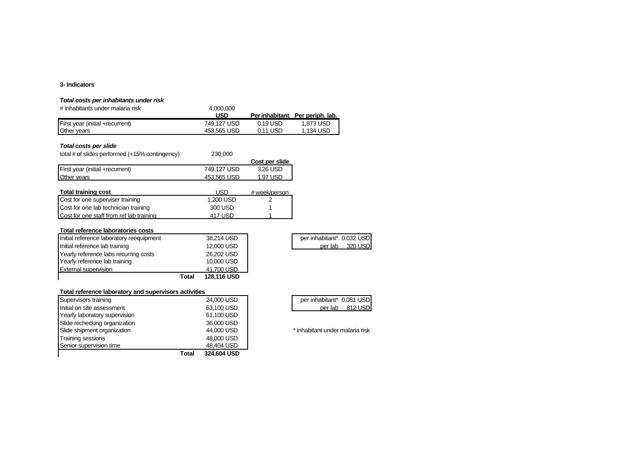#### **3- Indicators**

#### *Total costs per inhabitants under risk*

| # inhabitants under malaria risk | 4.000.000   |          |                                 |
|----------------------------------|-------------|----------|---------------------------------|
|                                  | <b>USD</b>  |          | Per inhabitant Per periph. lab. |
| First year (initial +recurrent)  | 749.127 USD | 0.19 USD | 1.873 USD                       |
| <b>Other vears</b>               | 453.565 USD | 0.11 USD | 1.134 USD                       |

#### *Total costs per slide*

| total # of slides performed (+15% contingency) | 230,000     |                |
|------------------------------------------------|-------------|----------------|
|                                                |             | Cost per slide |
| First year (initial +recurrent)                | 749.127 USD | 3.26 USD       |
| <b>Other vears</b>                             | 453.565 USD | 1.97 USD       |
|                                                |             |                |

| Total training cost                      | USD       | # week/person |
|------------------------------------------|-----------|---------------|
| Cost for one superviser training         | 1.200 USD |               |
| Cost for one lab technician training     | 300 USD   |               |
| Cost for one staff from ref lab training | 417 USD   |               |

#### **Total reference laboratories costs**

|                                          | Total | <b>128.116 USD</b> |                           |         |
|------------------------------------------|-------|--------------------|---------------------------|---------|
| <b>External supervision</b>              |       | 41.700 USD         |                           |         |
| Yearly reference lab training            |       | 10,000 USD         |                           |         |
| Yearly reference labs recurring costs    |       | 26,202 USD         |                           |         |
| Initial reference lab training           |       | 12,000 USD         | per lab                   | 320 USD |
| Initial reference laboratory reequipment |       | 38,214 USD         | per inhabitant* 0.032 USD |         |

| per inhabitant* 0.032 USD |         |
|---------------------------|---------|
| per lab                   | 320 USD |

#### **Total reference laboratory and supervisors activities**

|                               | Total | 324,604 USD |                                 |
|-------------------------------|-------|-------------|---------------------------------|
| Senior supervision time       |       | 48,404 USD  |                                 |
| <b>Training sessions</b>      |       | 48,000 USD  |                                 |
| Slide shipment organization   |       | 44,000 USD  | * inhabitant under malaria risk |
| Slide rechecking organization |       | 36,000 USD  |                                 |
| Yearly laboratory supervision |       | 61,100 USD  |                                 |
| Initial on site assessment    |       | 63.100 USD  | 812 USD<br>per lab              |
| Supervisors training          |       | 24,000 USD  | per inhabitant* 0.081 USD       |

| per inhabitant* 0.081 USD |         |
|---------------------------|---------|
| per lab                   | 812 USD |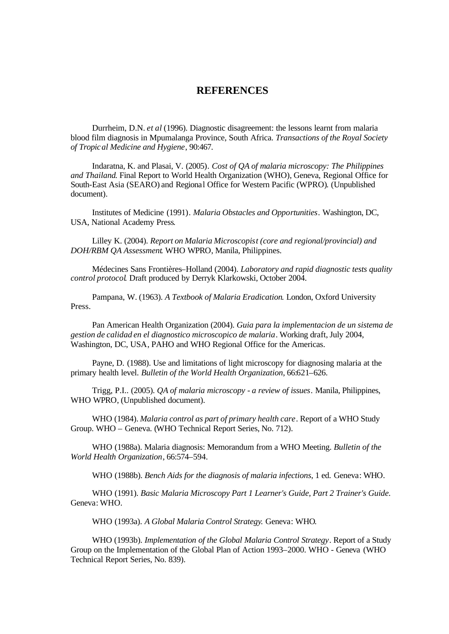# **REFERENCES**

Durrheim, D.N. *et al* (1996). Diagnostic disagreement: the lessons learnt from malaria blood film diagnosis in Mpumalanga Province, South Africa. *Transactions of the Royal Society of Tropical Medicine and Hygiene*, 90:467.

Indaratna, K. and Plasai, V. (2005). *Cost of QA of malaria microscopy: The Philippines and Thailand*. Final Report to World Health Organization (WHO), Geneva, Regional Office for South-East Asia (SEARO) and Regional Office for Western Pacific (WPRO). (Unpublished document).

Institutes of Medicine (1991). *Malaria Obstacles and Opportunities*. Washington, DC, USA, National Academy Press.

Lilley K. (2004). *Report on Malaria Microscopist (core and regional/provincial) and DOH/RBM QA Assessment*. WHO WPRO, Manila, Philippines.

Médecines Sans Frontières–Holland (2004). *Laboratory and rapid diagnostic tests quality control protocol*. Draft produced by Derryk Klarkowski, October 2004.

Pampana, W. (1963). *A Textbook of Malaria Eradication*. London, Oxford University Press.

Pan American Health Organization (2004). *Guia para la implementacion de un sistema de gestion de calidad en el diagnostico microscopico de malaria*. Working draft, July 2004, Washington, DC, USA, PAHO and WHO Regional Office for the Americas.

Payne, D. (1988). Use and limitations of light microscopy for diagnosing malaria at the primary health level. *Bulletin of the World Health Organization*, 66:621–626.

Trigg, P.I.. (2005). *QA of malaria microscopy - a review of issues*. Manila, Philippines, WHO WPRO, (Unpublished document).

WHO (1984). *Malaria control as part of primary health care*. Report of a WHO Study Group. WHO – Geneva. (WHO Technical Report Series, No. 712).

WHO (1988a). Malaria diagnosis: Memorandum from a WHO Meeting. *Bulletin of the World Health Organization*, 66:574–594.

WHO (1988b). *Bench Aids for the diagnosis of malaria infections*, 1 ed. Geneva: WHO.

WHO (1991). *Basic Malaria Microscopy Part 1 Learner's Guide, Part 2 Trainer's Guide*. Geneva: WHO.

WHO (1993a). *A Global Malaria Control Strategy.* Geneva: WHO.

WHO (1993b). *Implementation of the Global Malaria Control Strategy*. Report of a Study Group on the Implementation of the Global Plan of Action 1993–2000. WHO - Geneva (WHO Technical Report Series, No. 839).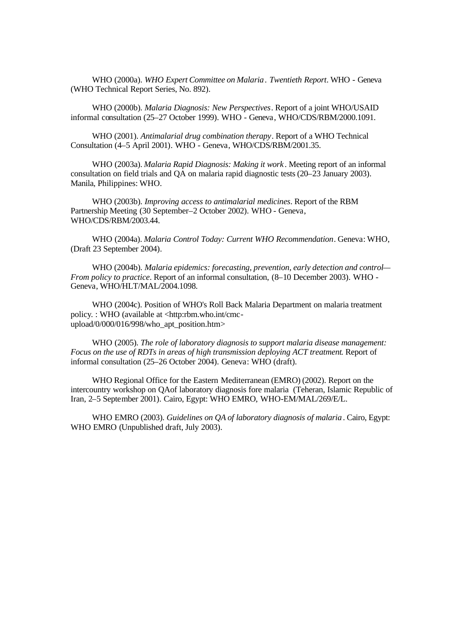WHO (2000a). *WHO Expert Committee on Malaria. Twentieth Report*. WHO - Geneva (WHO Technical Report Series, No. 892).

WHO (2000b). *Malaria Diagnosis: New Perspectives*. Report of a joint WHO/USAID informal consultation (25–27 October 1999). WHO - Geneva, WHO/CDS/RBM/2000.1091.

WHO (2001). *Antimalarial drug combination therapy*. Report of a WHO Technical Consultation (4–5 April 2001). WHO - Geneva, WHO/CDS/RBM/2001.35.

WHO (2003a). *Malaria Rapid Diagnosis: Making it work* . Meeting report of an informal consultation on field trials and QA on malaria rapid diagnostic tests (20–23 January 2003). Manila, Philippines: WHO.

WHO (2003b). *Improving access to antimalarial medicines*. Report of the RBM Partnership Meeting (30 September–2 October 2002). WHO - Geneva, WHO/CDS/RBM/2003.44.

WHO (2004a). *Malaria Control Today: Current WHO Recommendation*. Geneva: WHO, (Draft 23 September 2004).

WHO (2004b). *Malaria epidemics: forecasting, prevention, early detection and control— From policy to practice*. Report of an informal consultation, (8–10 December 2003). WHO - Geneva, WHO/HLT/MAL/2004.1098.

WHO (2004c). Position of WHO's Roll Back Malaria Department on malaria treatment policy. : WHO (available at <http:rbm.who.int/cmcupload/0/000/016/998/who\_apt\_position.htm>

WHO (2005). *The role of laboratory diagnosis to support malaria disease management: Focus on the use of RDTs in areas of high transmission deploying ACT treatment*. Report of informal consultation (25–26 October 2004). Geneva: WHO (draft).

WHO Regional Office for the Eastern Mediterranean (EMRO) (2002). Report on the intercountry workshop on QAof laboratory diagnosis fore malaria (Teheran, Islamic Republic of Iran, 2–5 September 2001). Cairo, Egypt: WHO EMRO, WHO-EM/MAL/269/E/L.

WHO EMRO (2003). *Guidelines on QA of laboratory diagnosis of malaria*. Cairo, Egypt: WHO EMRO (Unpublished draft, July 2003).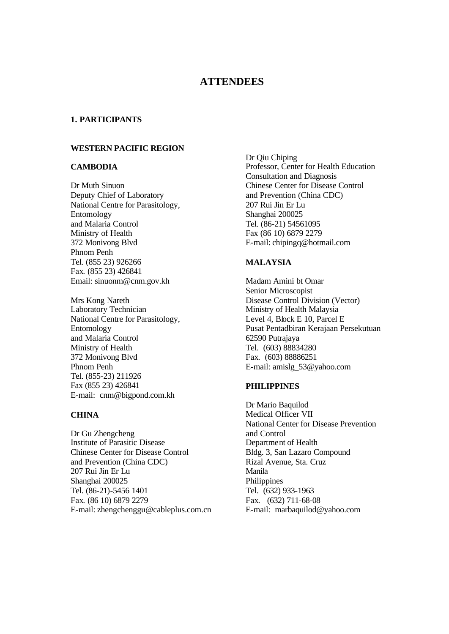# **ATTENDEES**

### **1. PARTICIPANTS**

## **WESTERN PACIFIC REGION**

#### **CAMBODIA**

Dr Muth Sinuon Deputy Chief of Laboratory National Centre for Parasitology, Entomology and Malaria Control Ministry of Health 372 Monivong Blvd Phnom Penh Tel. (855 23) 926266 Fax. (855 23) 426841 Email: sinuonm@cnm.gov.kh

Mrs Kong Nareth Laboratory Technician National Centre for Parasitology, Entomology and Malaria Control Ministry of Health 372 Monivong Blvd Phnom Penh Tel. (855-23) 211926 Fax (855 23) 426841 E-mail: cnm@bigpond.com.kh

#### **CHINA**

Dr Gu Zhengcheng Institute of Parasitic Disease Chinese Center for Disease Control and Prevention (China CDC) 207 Rui Jin Er Lu Shanghai 200025 Tel. (86-21)-5456 1401 Fax. (86 10) 6879 2279 E-mail: zhengchenggu@cableplus.com.cn Dr Qiu Chiping Professor, Center for Health Education Consultation and Diagnosis Chinese Center for Disease Control and Prevention (China CDC) 207 Rui Jin Er Lu Shanghai 200025 Tel. (86-21) 54561095 Fax (86 10) 6879 2279 E-mail: chipingq@hotmail.com

## **MALAYSIA**

Madam Amini bt Omar Senior Microscopist Disease Control Division (Vector) Ministry of Health Malaysia Level 4, Block E 10, Parcel E Pusat Pentadbiran Kerajaan Persekutuan 62590 Putrajaya Tel. (603) 88834280 Fax. (603) 88886251 E-mail: amislg\_53@yahoo.com

### **PHILIPPINES**

Dr Mario Baquilod Medical Officer VII National Center for Disease Prevention and Control Department of Health Bldg. 3, San Lazaro Compound Rizal Avenue, Sta. Cruz Manila Philippines Tel. (632) 933-1963 Fax. (632) 711-68-08 E-mail: marbaquilod@yahoo.com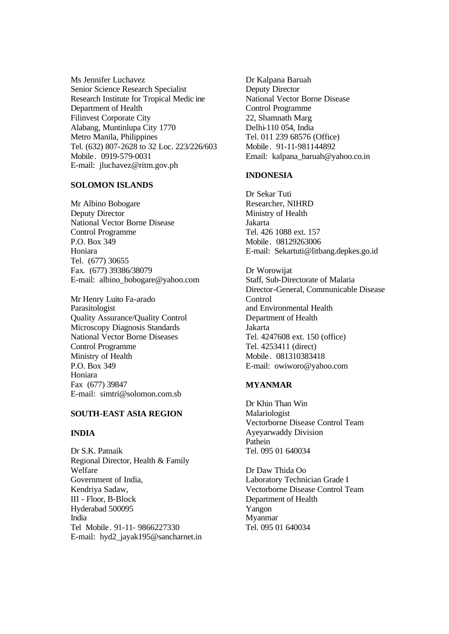Ms Jennifer Luchavez Senior Science Research Specialist Research Institute for Tropical Medic ine Department of Health Filinvest Corporate City Alabang, Muntinlupa City 1770 Metro Manila, Philippines Tel. (632) 807-2628 to 32 Loc. 223/226/603 Mobile. 0919-579-0031 E-mail: jluchavez@ritm.gov.ph

#### **SOLOMON ISLANDS**

Mr Albino Bobogare Deputy Director National Vector Borne Disease Control Programme P.O. Box 349 Honiara Tel. (677) 30655 Fax. (677) 39386/38079 E-mail: albino\_bobogare@yahoo.com

Mr Henry Luito Fa-arado Parasitologist Quality Assurance/Quality Control Microscopy Diagnosis Standards National Vector Borne Diseases Control Programme Ministry of Health P.O. Box 349 Honiara Fax (677) 39847 E-mail: simtri@solomon.com.sb

## **SOUTH-EAST ASIA REGION**

#### **INDIA**

Dr S.K. Patnaik Regional Director, Health & Family Welfare Government of India, Kendriya Sadaw, III - Floor, B-Block Hyderabad 500095 India Tel Mobile. 91-11- 9866227330 E-mail: hyd2\_jayak195@sancharnet.in Dr Kalpana Baruah Deputy Director National Vector Borne Disease Control Programme 22, Shamnath Marg Delhi-110 054, India Tel. 011 239 68576 (Office) Mobile. 91-11-981144892 Email: kalpana\_baruah@yahoo.co.in

#### **INDONESIA**

Dr Sekar Tuti Researcher, NIHRD Ministry of Health Jakarta Tel. 426 1088 ext. 157 Mobile. 08129263006 E-mail: Sekartuti@litbang.depkes.go.id

Dr Worowijat Staff, Sub-Directorate of Malaria Director-General, Communicable Disease Control and Environmental Health Department of Health Jakarta Tel. 4247608 ext. 150 (office) Tel. 4253411 (direct) Mobile. 081310383418 E-mail: owiworo@yahoo.com

# **MYANMAR**

Dr Khin Than Win Malariologist Vectorborne Disease Control Team Ayeyarwaddy Division Pathein Tel. 095 01 640034

Dr Daw Thida Oo Laboratory Technician Grade I Vectorborne Disease Control Team Department of Health Yangon Myanmar Tel. 095 01 640034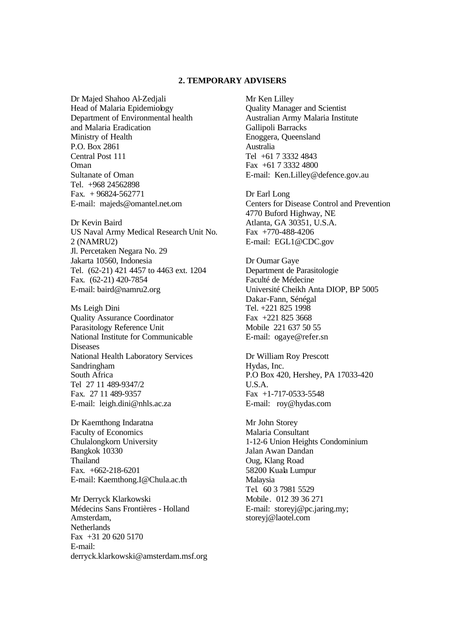#### **2. TEMPORARY ADVISERS**

Dr Majed Shahoo Al-Zedjali Head of Malaria Epidemiology Department of Environmental health and Malaria Eradication Ministry of Health P.O. Box 2861 Central Post 111 Oman Sultanate of Oman Tel. +968 24562898 Fax.  $+96824-562771$ E-mail: majeds@omantel.net.om

Dr Kevin Baird US Naval Army Medical Research Unit No. 2 (NAMRU2) Jl. Percetaken Negara No. 29 Jakarta 10560, Indonesia Tel. (62-21) 421 4457 to 4463 ext. 1204 Fax. (62-21) 420-7854 E-mail: baird@namru2.org

Ms Leigh Dini Quality Assurance Coordinator Parasitology Reference Unit National Institute for Communicable Diseases National Health Laboratory Services Sandringham South Africa Tel 27 11 489-9347/2 Fax. 27 11 489-9357 E-mail: leigh.dini@nhls.ac.za

Dr Kaemthong Indaratna Faculty of Economics Chulalongkorn University Bangkok 10330 Thailand Fax. +662-218-6201 E-mail: Kaemthong.I@Chula.ac.th

Mr Derryck Klarkowski Médecins Sans Frontières - Holland Amsterdam, **Netherlands** Fax  $+31$  20 620 5170 E-mail: derryck.klarkowski@amsterdam.msf.org Mr Ken Lilley Quality Manager and Scientist Australian Army Malaria Institute Gallipoli Barracks Enoggera, Queensland Australia Tel +61 7 3332 4843 Fax +61 7 3332 4800 E-mail: Ken.Lilley@defence.gov.au

Dr Earl Long Centers for Disease Control and Prevention 4770 Buford Highway, NE Atlanta, GA 30351, U.S.A. Fax +770-488-4206 E-mail: EGL1@CDC.gov

Dr Oumar Gaye Department de Parasitologie Faculté de Médecine Université Cheikh Anta DIOP, BP 5005 Dakar-Fann, Sénégal Tel. +221 825 1998 Fax +221 825 3668 Mobile 221 637 50 55 E-mail: ogaye@refer.sn

Dr William Roy Prescott Hydas, Inc. P.O Box 420, Hershey, PA 17033-420 U.S.A. Fax +1-717-0533-5548 E-mail: roy@hydas.com

Mr John Storey Malaria Consultant 1-12-6 Union Heights Condominium Jalan Awan Dandan Oug, Klang Road 58200 Kuala Lumpur Malaysia Tel. 60 3 7981 5529 Mobile. 012 39 36 271 E-mail: storeyj@pc.jaring.my; storeyj@laotel.com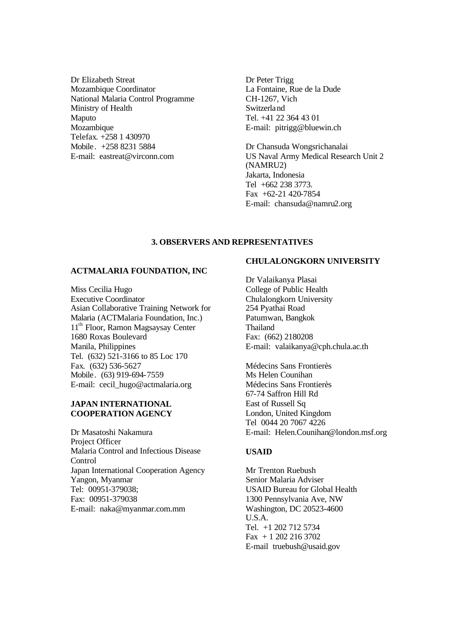Dr Elizabeth Streat Mozambique Coordinator National Malaria Control Programme Ministry of Health Maputo Mozambique Telefax. +258 1 430970 Mobile. +258 8231 5884 E-mail: eastreat@virconn.com

Dr Peter Trigg La Fontaine, Rue de la Dude CH-1267, Vich Switzerland Tel. +41 22 364 43 01 E-mail: pitrigg@bluewin.ch

Dr Chansuda Wongsrichanalai US Naval Army Medical Research Unit 2 (NAMRU2) Jakarta, Indonesia Tel +662 238 3773. Fax +62-21 420-7854 E-mail: chansuda@namru2.org

# **3. OBSERVERS AND REPRESENTATIVES**

#### **ACTMALARIA FOUNDATION, INC**

Miss Cecilia Hugo Executive Coordinator Asian Collaborative Training Network for Malaria (ACTMalaria Foundation, Inc.) 11<sup>th</sup> Floor, Ramon Magsaysay Center 1680 Roxas Boulevard Manila, Philippines Tel. (632) 521-3166 to 85 Loc 170 Fax. (632) 536-5627 Mobile. (63) 919-694-7559 E-mail: cecil\_hugo@actmalaria.org

# **JAPAN INTERNATIONAL COOPERATION AGENCY**

Dr Masatoshi Nakamura Project Officer Malaria Control and Infectious Disease Control Japan International Cooperation Agency Yangon, Myanmar Tel: 00951-379038; Fax: 00951-379038 E-mail: naka@myanmar.com.mm

## **CHULALONGKORN UNIVERSITY**

Dr Valaikanya Plasai College of Public Health Chulalongkorn University 254 Pyathai Road Patumwan, Bangkok Thailand Fax: (662) 2180208 E-mail: valaikanya@cph.chula.ac.th

Médecins Sans Frontierès Ms Helen Counihan Médecins Sans Frontierès 67-74 Saffron Hill Rd East of Russell Sq London, United Kingdom Tel 0044 20 7067 4226 E-mail: Helen.Counihan@london.msf.org

#### **USAID**

Mr Trenton Ruebush Senior Malaria Adviser USAID Bureau for Global Health 1300 Pennsylvania Ave, NW Washington, DC 20523-4600 U.S.A. Tel. +1 202 712 5734 Fax + 1 202 216 3702 E-mail truebush@usaid.gov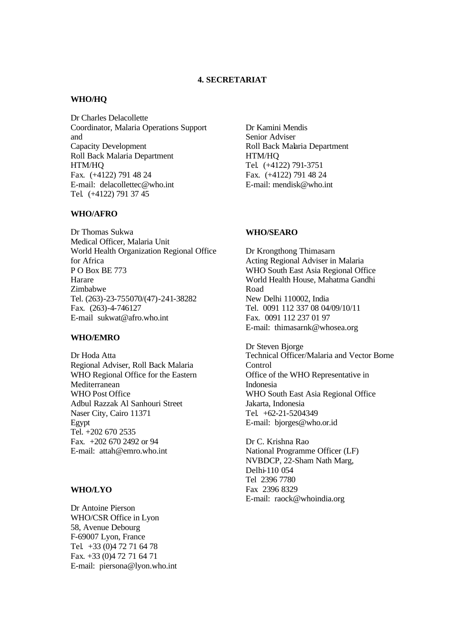### **4. SECRETARIAT**

#### **WHO/HQ**

Dr Charles Delacollette Coordinator, Malaria Operations Support and Capacity Development Roll Back Malaria Department HTM/HQ Fax. (+4122) 791 48 24 E-mail: delacollettec@who.int Tel. (+4122) 791 37 45

#### **WHO/AFRO**

Dr Thomas Sukwa Medical Officer, Malaria Unit World Health Organization Regional Office for Africa P O Box BE 773 Harare Zimbabwe Tel. (263)-23-755070/(47)-241-38282 Fax. (263)-4-746127 E-mail sukwat@afro.who.int

#### **WHO/EMRO**

Dr Hoda Atta Regional Adviser, Roll Back Malaria WHO Regional Office for the Eastern Mediterranean WHO Post Office Adbul Razzak Al Sanhouri Street Naser City, Cairo 11371 Egypt Tel. +202 670 2535 Fax. +202 670 2492 or 94 E-mail: attah@emro.who.int

#### **WHO/LYO**

Dr Antoine Pierson WHO/CSR Office in Lyon 58, Avenue Debourg F-69007 Lyon, France Tel. +33 (0)4 72 71 64 78 Fax. +33 (0)4 72 71 64 71 E-mail: piersona@lyon.who.int Dr Kamini Mendis Senior Adviser Roll Back Malaria Department HTM/HQ Tel. (+4122) 791-3751 Fax. (+4122) 791 48 24 E-mail: mendisk@who.int

#### **WHO/SEARO**

Dr Krongthong Thimasarn Acting Regional Adviser in Malaria WHO South East Asia Regional Office World Health House, Mahatma Gandhi Road New Delhi 110002, India Tel. 0091 112 337 08 04/09/10/11 Fax. 0091 112 237 01 97 E-mail: thimasarnk@whosea.org

Dr Steven Bjorge Technical Officer/Malaria and Vector Borne Control Office of the WHO Representative in Indonesia WHO South East Asia Regional Office Jakarta, Indonesia Tel. +62-21-5204349 E-mail: bjorges@who.or.id

Dr C. Krishna Rao National Programme Officer (LF) NVBDCP, 22-Sham Nath Marg, Delhi-110 054 Tel 2396 7780 Fax 2396 8329 E-mail: raock@whoindia.org